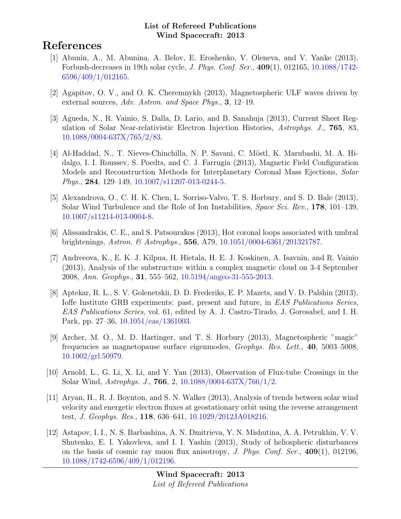# References

- [1] Abunin, A., M. Abunina, A. Belov, E. Eroshenko, V. Oleneva, and V. Yanke (2013), Forbush-decreases in 19th solar cycle, J. Phys. Conf. Ser., 409(1), 012165, [10.1088/1742-](http://dx.doi.org/10.1088/1742-6596/409/1/012165) [6596/409/1/012165.](http://dx.doi.org/10.1088/1742-6596/409/1/012165)
- [2] Agapitov, O. V., and O. K. Cheremnykh (2013), Magnetospheric ULF waves driven by external sources, Adv. Astron. and Space Phys., 3, 12–19.
- [3] Agueda, N., R. Vainio, S. Dalla, D. Lario, and B. Sanahuja (2013), Current Sheet Regulation of Solar Near-relativistic Electron Injection Histories, Astrophys. J., 765, 83, [10.1088/0004-637X/765/2/83.](http://dx.doi.org/10.1088/0004-637X/765/2/83)
- [4] Al-Haddad, N., T. Nieves-Chinchilla, N. P. Savani, C. Möstl, K. Marubashi, M. A. Hidalgo, I. I. Roussev, S. Poedts, and C. J. Farrugia (2013), Magnetic Field Configuration Models and Reconstruction Methods for Interplanetary Coronal Mass Ejections, Solar Phys., 284, 129–149, [10.1007/s11207-013-0244-5.](http://dx.doi.org/10.1007/s11207-013-0244-5)
- [5] Alexandrova, O., C. H. K. Chen, L. Sorriso-Valvo, T. S. Horbury, and S. D. Bale (2013), Solar Wind Turbulence and the Role of Ion Instabilities, *Space Sci. Rev.*, 178, 101–139, [10.1007/s11214-013-0004-8.](http://dx.doi.org/10.1007/s11214-013-0004-8)
- [6] Alissandrakis, C. E., and S. Patsourakos (2013), Hot coronal loops associated with umbral brightenings, Astron. & Astrophys., 556, A79, [10.1051/0004-6361/201321787.](http://dx.doi.org/10.1051/0004-6361/201321787)
- [7] Andreeova, K., E. K. J. Kilpua, H. Hietala, H. E. J. Koskinen, A. Isavnin, and R. Vainio (2013), Analysis of the substructure within a complex magnetic cloud on 3-4 September 2008, Ann. Geophys., 31, 555–562, [10.5194/angeo-31-555-2013.](http://dx.doi.org/10.5194/angeo-31-555-2013)
- [8] Aptekar, R. L., S. V. Golenetskii, D. D. Frederiks, E. P. Mazets, and V. D. Palshin (2013), Ioffe Institute GRB experiments: past, present and future, in EAS Publications Series, EAS Publications Series, vol. 61, edited by A. J. Castro-Tirado, J. Gorosabel, and I. H. Park, pp. 27–36, [10.1051/eas/1361003.](http://dx.doi.org/10.1051/eas/1361003)
- [9] Archer, M. O., M. D. Hartinger, and T. S. Horbury (2013), Magnetospheric "magic" frequencies as magnetopause surface eigenmodes, Geophys. Res. Lett., 40, 5003–5008, [10.1002/grl.50979.](http://dx.doi.org/10.1002/grl.50979)
- [10] Arnold, L., G. Li, X. Li, and Y. Yan (2013), Observation of Flux-tube Crossings in the Solar Wind, Astrophys. J., 766, 2, [10.1088/0004-637X/766/1/2.](http://dx.doi.org/10.1088/0004-637X/766/1/2)
- [11] Aryan, H., R. J. Boynton, and S. N. Walker (2013), Analysis of trends between solar wind velocity and energetic electron fluxes at geostationary orbit using the reverse arrangement test, J. Geophys. Res., 118, 636–641, [10.1029/2012JA018216.](http://dx.doi.org/10.1029/2012JA018216)
- [12] Astapov, I. I., N. S. Barbashina, A. N. Dmitrieva, Y. N. Mishutina, A. A. Petrukhin, V. V. Shutenko, E. I. Yakovleva, and I. I. Yashin (2013), Study of heliospheric disturbances on the basis of cosmic ray muon flux anisotropy, J. Phys. Conf. Ser.,  $409(1)$ , 012196, [10.1088/1742-6596/409/1/012196.](http://dx.doi.org/10.1088/1742-6596/409/1/012196)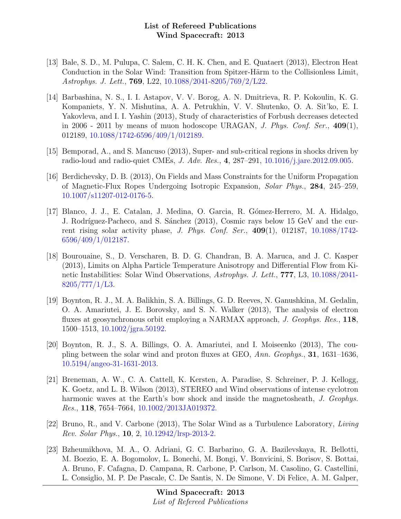- [13] Bale, S. D., M. Pulupa, C. Salem, C. H. K. Chen, and E. Quataert (2013), Electron Heat Conduction in the Solar Wind: Transition from Spitzer-Härm to the Collisionless Limit, Astrophys. J. Lett., 769, L22, [10.1088/2041-8205/769/2/L22.](http://dx.doi.org/10.1088/2041-8205/769/2/L22)
- [14] Barbashina, N. S., I. I. Astapov, V. V. Borog, A. N. Dmitrieva, R. P. Kokoulin, K. G. Kompaniets, Y. N. Mishutina, A. A. Petrukhin, V. V. Shutenko, O. A. Sit'ko, E. I. Yakovleva, and I. I. Yashin (2013), Study of characteristics of Forbush decreases detected in 2006 - 2011 by means of muon hodoscope URAGAN, J. Phys. Conf. Ser.,  $409(1)$ , 012189, [10.1088/1742-6596/409/1/012189.](http://dx.doi.org/10.1088/1742-6596/409/1/012189)
- [15] Bemporad, A., and S. Mancuso (2013), Super- and sub-critical regions in shocks driven by radio-loud and radio-quiet CMEs, J. Adv. Res., 4, 287–291, [10.1016/j.jare.2012.09.005.](http://dx.doi.org/10.1016/j.jare.2012.09.005)
- [16] Berdichevsky, D. B. (2013), On Fields and Mass Constraints for the Uniform Propagation of Magnetic-Flux Ropes Undergoing Isotropic Expansion, Solar Phys., 284, 245–259, [10.1007/s11207-012-0176-5.](http://dx.doi.org/10.1007/s11207-012-0176-5)
- [17] Blanco, J. J., E. Catalan, J. Medina, O. Garcia, R. G´omez-Herrero, M. A. Hidalgo, J. Rodríguez-Pacheco, and S. Sánchez (2013), Cosmic rays below 15 GeV and the current rising solar activity phase, J. Phys. Conf. Ser.,  $409(1)$ , 012187, [10.1088/1742-](http://dx.doi.org/10.1088/1742-6596/409/1/012187) [6596/409/1/012187.](http://dx.doi.org/10.1088/1742-6596/409/1/012187)
- [18] Bourouaine, S., D. Verscharen, B. D. G. Chandran, B. A. Maruca, and J. C. Kasper (2013), Limits on Alpha Particle Temperature Anisotropy and Differential Flow from Kinetic Instabilities: Solar Wind Observations, Astrophys. J. Lett., 777, L3, [10.1088/2041-](http://dx.doi.org/10.1088/2041-8205/777/1/L3)  $8205/777/1/L3$ .
- [19] Boynton, R. J., M. A. Balikhin, S. A. Billings, G. D. Reeves, N. Ganushkina, M. Gedalin, O. A. Amariutei, J. E. Borovsky, and S. N. Walker (2013), The analysis of electron fluxes at geosynchronous orbit employing a NARMAX approach, J. Geophys. Res., 118, 1500–1513, [10.1002/jgra.50192.](http://dx.doi.org/10.1002/jgra.50192)
- [20] Boynton, R. J., S. A. Billings, O. A. Amariutei, and I. Moiseenko (2013), The coupling between the solar wind and proton fluxes at GEO, Ann. Geophys., 31, 1631–1636, [10.5194/angeo-31-1631-2013.](http://dx.doi.org/10.5194/angeo-31-1631-2013)
- [21] Breneman, A. W., C. A. Cattell, K. Kersten, A. Paradise, S. Schreiner, P. J. Kellogg, K. Goetz, and L. B. Wilson (2013), STEREO and Wind observations of intense cyclotron harmonic waves at the Earth's bow shock and inside the magnetosheath, J. Geophys. Res., 118, 7654–7664, [10.1002/2013JA019372.](http://dx.doi.org/10.1002/2013JA019372)
- [22] Bruno, R., and V. Carbone (2013), The Solar Wind as a Turbulence Laboratory, Living Rev. Solar Phys., 10, 2, [10.12942/lrsp-2013-2.](http://dx.doi.org/10.12942/lrsp-2013-2)
- [23] Bzheumikhova, M. A., O. Adriani, G. C. Barbarino, G. A. Bazilevskaya, R. Bellotti, M. Boezio, E. A. Bogomolov, L. Bonechi, M. Bongi, V. Bonvicini, S. Borisov, S. Bottai, A. Bruno, F. Cafagna, D. Campana, R. Carbone, P. Carlson, M. Casolino, G. Castellini, L. Consiglio, M. P. De Pascale, C. De Santis, N. De Simone, V. Di Felice, A. M. Galper,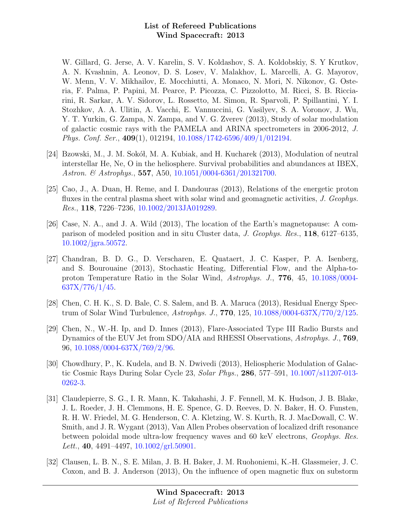W. Gillard, G. Jerse, A. V. Karelin, S. V. Koldashov, S. A. Koldobskiy, S. Y Krutkov, A. N. Kvashnin, A. Leonov, D. S. Losev, V. Malakhov, L. Marcelli, A. G. Mayorov, W. Menn, V. V. Mikhailov, E. Mocchiutti, A. Monaco, N. Mori, N. Nikonov, G. Osteria, F. Palma, P. Papini, M. Pearce, P. Picozza, C. Pizzolotto, M. Ricci, S. B. Ricciarini, R. Sarkar, A. V. Sidorov, L. Rossetto, M. Simon, R. Sparvoli, P. Spillantini, Y. I. Stozhkov, A. A. Ulitin, A. Vacchi, E. Vannuccini, G. Vasilyev, S. A. Voronov, J. Wu, Y. T. Yurkin, G. Zampa, N. Zampa, and V. G. Zverev (2013), Study of solar modulation of galactic cosmic rays with the PAMELA and ARINA spectrometers in 2006-2012, J. Phys. Conf. Ser., 409(1), 012194, [10.1088/1742-6596/409/1/012194.](http://dx.doi.org/10.1088/1742-6596/409/1/012194)

- [24] Bzowski, M., J. M. Sokół, M. A. Kubiak, and H. Kucharek (2013), Modulation of neutral interstellar He, Ne, O in the heliosphere. Survival probabilities and abundances at IBEX, Astron. & Astrophys., **557**, A50, [10.1051/0004-6361/201321700.](http://dx.doi.org/10.1051/0004-6361/201321700)
- [25] Cao, J., A. Duan, H. Reme, and I. Dandouras (2013), Relations of the energetic proton fluxes in the central plasma sheet with solar wind and geomagnetic activities, J. Geophys. Res., 118, 7226–7236, [10.1002/2013JA019289.](http://dx.doi.org/10.1002/2013JA019289)
- [26] Case, N. A., and J. A. Wild (2013), The location of the Earth's magnetopause: A comparison of modeled position and in situ Cluster data, J. Geophys. Res., 118, 6127–6135, [10.1002/jgra.50572.](http://dx.doi.org/10.1002/jgra.50572)
- [27] Chandran, B. D. G., D. Verscharen, E. Quataert, J. C. Kasper, P. A. Isenberg, and S. Bourouaine (2013), Stochastic Heating, Differential Flow, and the Alpha-toproton Temperature Ratio in the Solar Wind, Astrophys. J., 776, 45, [10.1088/0004-](http://dx.doi.org/10.1088/0004-637X/776/1/45) [637X/776/1/45.](http://dx.doi.org/10.1088/0004-637X/776/1/45)
- [28] Chen, C. H. K., S. D. Bale, C. S. Salem, and B. A. Maruca (2013), Residual Energy Spectrum of Solar Wind Turbulence, Astrophys. J., 770, 125, [10.1088/0004-637X/770/2/125.](http://dx.doi.org/10.1088/0004-637X/770/2/125)
- [29] Chen, N., W.-H. Ip, and D. Innes (2013), Flare-Associated Type III Radio Bursts and Dynamics of the EUV Jet from SDO/AIA and RHESSI Observations, Astrophys. J., 769, 96, [10.1088/0004-637X/769/2/96.](http://dx.doi.org/10.1088/0004-637X/769/2/96)
- [30] Chowdhury, P., K. Kudela, and B. N. Dwivedi (2013), Heliospheric Modulation of Galactic Cosmic Rays During Solar Cycle 23, Solar Phys., 286, 577–591, [10.1007/s11207-013-](http://dx.doi.org/10.1007/s11207-013-0262-3) [0262-3.](http://dx.doi.org/10.1007/s11207-013-0262-3)
- [31] Claudepierre, S. G., I. R. Mann, K. Takahashi, J. F. Fennell, M. K. Hudson, J. B. Blake, J. L. Roeder, J. H. Clemmons, H. E. Spence, G. D. Reeves, D. N. Baker, H. O. Funsten, R. H. W. Friedel, M. G. Henderson, C. A. Kletzing, W. S. Kurth, R. J. MacDowall, C. W. Smith, and J. R. Wygant (2013), Van Allen Probes observation of localized drift resonance between poloidal mode ultra-low frequency waves and 60 keV electrons, Geophys. Res. Lett., 40, 4491-4497,  $10.1002\text{grl.}50901$ .
- [32] Clausen, L. B. N., S. E. Milan, J. B. H. Baker, J. M. Ruohoniemi, K.-H. Glassmeier, J. C. Coxon, and B. J. Anderson (2013), On the influence of open magnetic flux on substorm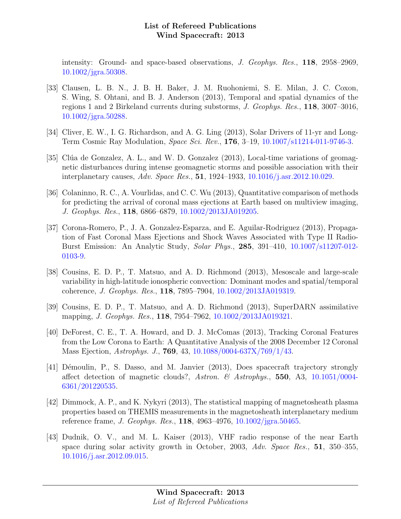intensity: Ground- and space-based observations, J. Geophys. Res., 118, 2958–2969, [10.1002/jgra.50308.](http://dx.doi.org/10.1002/jgra.50308)

- [33] Clausen, L. B. N., J. B. H. Baker, J. M. Ruohoniemi, S. E. Milan, J. C. Coxon, S. Wing, S. Ohtani, and B. J. Anderson (2013), Temporal and spatial dynamics of the regions 1 and 2 Birkeland currents during substorms, J. Geophys. Res., 118, 3007–3016, [10.1002/jgra.50288.](http://dx.doi.org/10.1002/jgra.50288)
- [34] Cliver, E. W., I. G. Richardson, and A. G. Ling (2013), Solar Drivers of 11-yr and Long-Term Cosmic Ray Modulation, Space Sci. Rev., 176, 3–19, [10.1007/s11214-011-9746-3.](http://dx.doi.org/10.1007/s11214-011-9746-3)
- [35] Clúa de Gonzalez, A. L., and W. D. Gonzalez (2013), Local-time variations of geomagnetic disturbances during intense geomagnetic storms and possible association with their interplanetary causes, Adv. Space Res., 51, 1924–1933, [10.1016/j.asr.2012.10.029.](http://dx.doi.org/10.1016/j.asr.2012.10.029)
- [36] Colaninno, R. C., A. Vourlidas, and C. C. Wu (2013), Quantitative comparison of methods for predicting the arrival of coronal mass ejections at Earth based on multiview imaging, J. Geophys. Res., 118, 6866–6879, [10.1002/2013JA019205.](http://dx.doi.org/10.1002/2013JA019205)
- [37] Corona-Romero, P., J. A. Gonzalez-Esparza, and E. Aguilar-Rodriguez (2013), Propagation of Fast Coronal Mass Ejections and Shock Waves Associated with Type II Radio-Burst Emission: An Analytic Study, Solar Phys., 285, 391–410, [10.1007/s11207-012-](http://dx.doi.org/10.1007/s11207-012-0103-9) [0103-9.](http://dx.doi.org/10.1007/s11207-012-0103-9)
- [38] Cousins, E. D. P., T. Matsuo, and A. D. Richmond (2013), Mesoscale and large-scale variability in high-latitude ionospheric convection: Dominant modes and spatial/temporal coherence, J. Geophys. Res., 118, 7895–7904, [10.1002/2013JA019319.](http://dx.doi.org/10.1002/2013JA019319)
- [39] Cousins, E. D. P., T. Matsuo, and A. D. Richmond (2013), SuperDARN assimilative mapping, *J. Geophys. Res.*, **118**, 7954–7962, [10.1002/2013JA019321.](http://dx.doi.org/10.1002/2013JA019321)
- [40] DeForest, C. E., T. A. Howard, and D. J. McComas (2013), Tracking Coronal Features from the Low Corona to Earth: A Quantitative Analysis of the 2008 December 12 Coronal Mass Ejection, Astrophys. J., 769, 43, [10.1088/0004-637X/769/1/43.](http://dx.doi.org/10.1088/0004-637X/769/1/43)
- [41] Démoulin, P., S. Dasso, and M. Janvier (2013), Does spacecraft trajectory strongly affect detection of magnetic clouds?, Astron. & Astrophys., 550, A3,  $10.1051/0004$ -[6361/201220535.](http://dx.doi.org/10.1051/0004-6361/201220535)
- [42] Dimmock, A. P., and K. Nykyri (2013), The statistical mapping of magnetosheath plasma properties based on THEMIS measurements in the magnetosheath interplanetary medium reference frame, J. Geophys. Res., 118, 4963–4976, [10.1002/jgra.50465.](http://dx.doi.org/10.1002/jgra.50465)
- [43] Dudnik, O. V., and M. L. Kaiser (2013), VHF radio response of the near Earth space during solar activity growth in October, 2003, Adv. Space Res., 51, 350–355, [10.1016/j.asr.2012.09.015.](http://dx.doi.org/10.1016/j.asr.2012.09.015)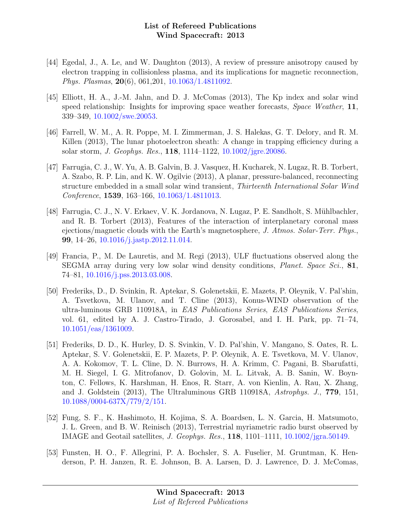- [44] Egedal, J., A. Le, and W. Daughton (2013), A review of pressure anisotropy caused by electron trapping in collisionless plasma, and its implications for magnetic reconnection, Phys. Plasmas, 20(6), 061,201, [10.1063/1.4811092.](http://dx.doi.org/10.1063/1.4811092)
- [45] Elliott, H. A., J.-M. Jahn, and D. J. McComas (2013), The Kp index and solar wind speed relationship: Insights for improving space weather forecasts, *Space Weather*, 11, 339–349, [10.1002/swe.20053.](http://dx.doi.org/10.1002/swe.20053)
- [46] Farrell, W. M., A. R. Poppe, M. I. Zimmerman, J. S. Halekas, G. T. Delory, and R. M. Killen (2013), The lunar photoelectron sheath: A change in trapping efficiency during a solar storm, J. Geophys. Res., 118, 1114–1122, [10.1002/jgre.20086.](http://dx.doi.org/10.1002/jgre.20086)
- [47] Farrugia, C. J., W. Yu, A. B. Galvin, B. J. Vasquez, H. Kucharek, N. Lugaz, R. B. Torbert, A. Szabo, R. P. Lin, and K. W. Ogilvie (2013), A planar, pressure-balanced, reconnecting structure embedded in a small solar wind transient, Thirteenth International Solar Wind Conference, 1539, 163–166, [10.1063/1.4811013.](http://dx.doi.org/10.1063/1.4811013)
- [48] Farrugia, C. J., N. V. Erkaev, V. K. Jordanova, N. Lugaz, P. E. Sandholt, S. M¨uhlbachler, and R. B. Torbert (2013), Features of the interaction of interplanetary coronal mass ejections/magnetic clouds with the Earth's magnetosphere, J. Atmos. Solar-Terr. Phys., 99, 14–26, [10.1016/j.jastp.2012.11.014.](http://dx.doi.org/10.1016/j.jastp.2012.11.014)
- [49] Francia, P., M. De Lauretis, and M. Regi (2013), ULF fluctuations observed along the SEGMA array during very low solar wind density conditions, Planet. Space Sci., 81, 74–81, [10.1016/j.pss.2013.03.008.](http://dx.doi.org/10.1016/j.pss.2013.03.008)
- [50] Frederiks, D., D. Svinkin, R. Aptekar, S. Golenetskii, E. Mazets, P. Oleynik, V. Pal'shin, A. Tsvetkova, M. Ulanov, and T. Cline (2013), Konus-WIND observation of the ultra-luminous GRB 110918A, in EAS Publications Series, EAS Publications Series, vol. 61, edited by A. J. Castro-Tirado, J. Gorosabel, and I. H. Park, pp. 71–74, [10.1051/eas/1361009.](http://dx.doi.org/10.1051/eas/1361009)
- [51] Frederiks, D. D., K. Hurley, D. S. Svinkin, V. D. Pal'shin, V. Mangano, S. Oates, R. L. Aptekar, S. V. Golenetskii, E. P. Mazets, P. P. Oleynik, A. E. Tsvetkova, M. V. Ulanov, A. A. Kokomov, T. L. Cline, D. N. Burrows, H. A. Krimm, C. Pagani, B. Sbarufatti, M. H. Siegel, I. G. Mitrofanov, D. Golovin, M. L. Litvak, A. B. Sanin, W. Boynton, C. Fellows, K. Harshman, H. Enos, R. Starr, A. von Kienlin, A. Rau, X. Zhang, and J. Goldstein (2013), The Ultraluminous GRB 110918A, Astrophys. J., 779, 151, [10.1088/0004-637X/779/2/151.](http://dx.doi.org/10.1088/0004-637X/779/2/151)
- [52] Fung, S. F., K. Hashimoto, H. Kojima, S. A. Boardsen, L. N. Garcia, H. Matsumoto, J. L. Green, and B. W. Reinisch (2013), Terrestrial myriametric radio burst observed by IMAGE and Geotail satellites, J. Geophys. Res., 118, 1101–1111, [10.1002/jgra.50149.](http://dx.doi.org/10.1002/jgra.50149)
- [53] Funsten, H. O., F. Allegrini, P. A. Bochsler, S. A. Fuselier, M. Gruntman, K. Henderson, P. H. Janzen, R. E. Johnson, B. A. Larsen, D. J. Lawrence, D. J. McComas,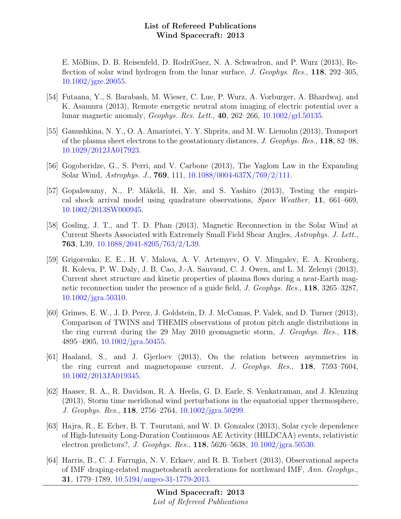E. MöBius, D. B. Reisenfeld, D. RodríGuez, N. A. Schwadron, and P. Wurz (2013), Reflection of solar wind hydrogen from the lunar surface, J. Geophys. Res., 118, 292–305, [10.1002/jgre.20055.](http://dx.doi.org/10.1002/jgre.20055)

- [54] Futaana, Y., S. Barabash, M. Wieser, C. Lue, P. Wurz, A. Vorburger, A. Bhardwaj, and K. Asamura (2013), Remote energetic neutral atom imaging of electric potential over a lunar magnetic anomaly, *Geophys. Res. Lett.*, 40, 262–266,  $10.1002\text{/grl.}50135$ .
- [55] Ganushkina, N. Y., O. A. Amariutei, Y. Y. Shprits, and M. W. Liemohn (2013), Transport of the plasma sheet electrons to the geostationary distances, J. Geophys. Res., 118, 82–98, [10.1029/2012JA017923.](http://dx.doi.org/10.1029/2012JA017923)
- [56] Gogoberidze, G., S. Perri, and V. Carbone (2013), The Yaglom Law in the Expanding Solar Wind, Astrophys. J., 769, 111, [10.1088/0004-637X/769/2/111.](http://dx.doi.org/10.1088/0004-637X/769/2/111)
- [57] Gopalswamy, N., P. Mäkelä, H. Xie, and S. Yashiro (2013), Testing the empirical shock arrival model using quadrature observations, Space Weather, 11, 661–669, [10.1002/2013SW000945.](http://dx.doi.org/10.1002/2013SW000945)
- [58] Gosling, J. T., and T. D. Phan (2013), Magnetic Reconnection in the Solar Wind at Current Sheets Associated with Extremely Small Field Shear Angles, Astrophys. J. Lett., 763, L39, [10.1088/2041-8205/763/2/L39.](http://dx.doi.org/10.1088/2041-8205/763/2/L39)
- [59] Grigorenko, E. E., H. V. Malova, A. V. Artemyev, O. V. Mingalev, E. A. Kronberg, R. Koleva, P. W. Daly, J. B. Cao, J.-A. Sauvaud, C. J. Owen, and L. M. Zelenyi (2013), Current sheet structure and kinetic properties of plasma flows during a near-Earth magnetic reconnection under the presence of a guide field, J. Geophys. Res., 118, 3265–3287, [10.1002/jgra.50310.](http://dx.doi.org/10.1002/jgra.50310)
- [60] Grimes, E. W., J. D. Perez, J. Goldstein, D. J. McComas, P. Valek, and D. Turner (2013), Comparison of TWINS and THEMIS observations of proton pitch angle distributions in the ring current during the 29 May 2010 geomagnetic storm, J. Geophys. Res., 118, 4895–4905, [10.1002/jgra.50455.](http://dx.doi.org/10.1002/jgra.50455)
- [61] Haaland, S., and J. Gjerloev (2013), On the relation between asymmetries in the ring current and magnetopause current, J. Geophys. Res., 118, 7593–7604, [10.1002/2013JA019345.](http://dx.doi.org/10.1002/2013JA019345)
- [62] Haaser, R. A., R. Davidson, R. A. Heelis, G. D. Earle, S. Venkatraman, and J. Klenzing (2013), Storm time meridional wind perturbations in the equatorial upper thermosphere, J. Geophys. Res., 118, 2756–2764, [10.1002/jgra.50299.](http://dx.doi.org/10.1002/jgra.50299)
- [63] Hajra, R., E. Echer, B. T. Tsurutani, and W. D. Gonzalez (2013), Solar cycle dependence of High-Intensity Long-Duration Continuous AE Activity (HILDCAA) events, relativistic electron predictors?, J. Geophys. Res., 118, 5626–5638, [10.1002/jgra.50530.](http://dx.doi.org/10.1002/jgra.50530)
- [64] Harris, B., C. J. Farrugia, N. V. Erkaev, and R. B. Torbert (2013), Observational aspects of IMF draping-related magnetosheath accelerations for northward IMF, Ann. Geophys., 31, 1779–1789, [10.5194/angeo-31-1779-2013.](http://dx.doi.org/10.5194/angeo-31-1779-2013)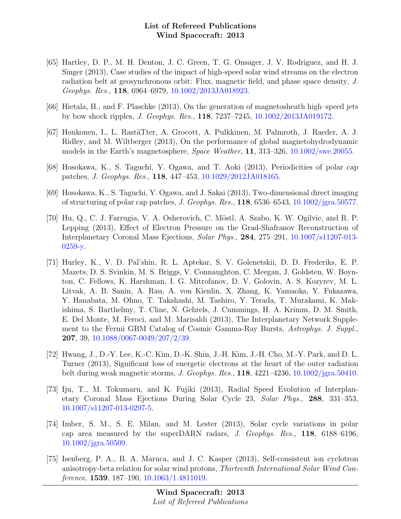- [65] Hartley, D. P., M. H. Denton, J. C. Green, T. G. Onsager, J. V. Rodriguez, and H. J. Singer (2013), Case studies of the impact of high-speed solar wind streams on the electron radiation belt at geosynchronous orbit: Flux, magnetic field, and phase space density, J. Geophys. Res., 118, 6964–6979, [10.1002/2013JA018923.](http://dx.doi.org/10.1002/2013JA018923)
- [66] Hietala, H., and F. Plaschke (2013), On the generation of magnetosheath high–speed jets by bow shock ripples, J. Geophys. Res., 118, 7237–7245, [10.1002/2013JA019172.](http://dx.doi.org/10.1002/2013JA019172)
- [67] Honkonen, I., L. Rast¨aTter, A. Grocott, A. Pulkkinen, M. Palmroth, J. Raeder, A. J. Ridley, and M. Wiltberger (2013), On the performance of global magnetohydrodynamic models in the Earth's magnetosphere, Space Weather, 11, 313–326, [10.1002/swe.20055.](http://dx.doi.org/10.1002/swe.20055)
- [68] Hosokawa, K., S. Taguchi, Y. Ogawa, and T. Aoki (2013), Periodicities of polar cap patches, J. Geophys. Res., 118, 447–453, [10.1029/2012JA018165.](http://dx.doi.org/10.1029/2012JA018165)
- [69] Hosokawa, K., S. Taguchi, Y. Ogawa, and J. Sakai (2013), Two-dimensional direct imaging of structuring of polar cap patches, J. Geophys. Res., 118, 6536–6543, [10.1002/jgra.50577.](http://dx.doi.org/10.1002/jgra.50577)
- [70] Hu, Q., C. J. Farrugia, V. A. Osherovich, C. Möstl, A. Szabo, K. W. Ogilvie, and R. P. Lepping (2013), Effect of Electron Pressure on the Grad-Shafranov Reconstruction of Interplanetary Coronal Mass Ejections, Solar Phys., 284, 275–291, [10.1007/s11207-013-](http://dx.doi.org/10.1007/s11207-013-0259-y) [0259-y.](http://dx.doi.org/10.1007/s11207-013-0259-y)
- [71] Hurley, K., V. D. Pal'shin, R. L. Aptekar, S. V. Golenetskii, D. D. Frederiks, E. P. Mazets, D. S. Svinkin, M. S. Briggs, V. Connaughton, C. Meegan, J. Goldsten, W. Boynton, C. Fellows, K. Harshman, I. G. Mitrofanov, D. V. Golovin, A. S. Kozyrev, M. L. Litvak, A. B. Sanin, A. Rau, A. von Kienlin, X. Zhang, K. Yamaoka, Y. Fukazawa, Y. Hanabata, M. Ohno, T. Takahashi, M. Tashiro, Y. Terada, T. Murakami, K. Makishima, S. Barthelmy, T. Cline, N. Gehrels, J. Cummings, H. A. Krimm, D. M. Smith, E. Del Monte, M. Feroci, and M. Marisaldi (2013), The Interplanetary Network Supplement to the Fermi GBM Catalog of Cosmic Gamma-Ray Bursts, Astrophys. J. Suppl., 207, 39, [10.1088/0067-0049/207/2/39.](http://dx.doi.org/10.1088/0067-0049/207/2/39)
- [72] Hwang, J., D.-Y. Lee, K.-C. Kim, D.-K. Shin, J.-H. Kim, J.-H. Cho, M.-Y. Park, and D. L. Turner (2013), Significant loss of energetic electrons at the heart of the outer radiation belt during weak magnetic storms, J. Geophys. Res., 118, 4221–4236, [10.1002/jgra.50410.](http://dx.doi.org/10.1002/jgra.50410)
- [73] Iju, T., M. Tokumaru, and K. Fujiki (2013), Radial Speed Evolution of Interplanetary Coronal Mass Ejections During Solar Cycle 23, Solar Phys., 288, 331–353, [10.1007/s11207-013-0297-5.](http://dx.doi.org/10.1007/s11207-013-0297-5)
- [74] Imber, S. M., S. E. Milan, and M. Lester (2013), Solar cycle variations in polar cap area measured by the superDARN radars, J. Geophys. Res., 118, 6188–6196, [10.1002/jgra.50509.](http://dx.doi.org/10.1002/jgra.50509)
- [75] Isenberg, P. A., B. A. Maruca, and J. C. Kasper (2013), Self-consistent ion cyclotron anisotropy-beta relation for solar wind protons, Thirteenth International Solar Wind Conference,  $1539, 187-190, 10.1063/1.4811019$ .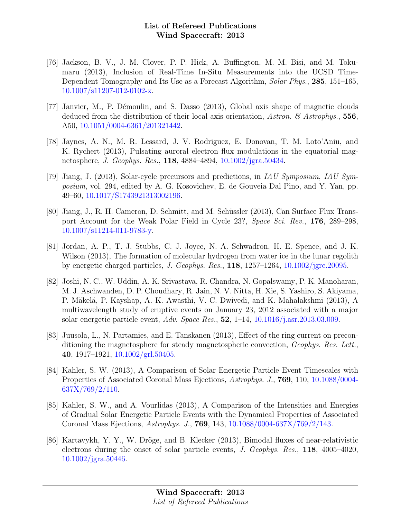- [76] Jackson, B. V., J. M. Clover, P. P. Hick, A. Buffington, M. M. Bisi, and M. Tokumaru (2013), Inclusion of Real-Time In-Situ Measurements into the UCSD Time-Dependent Tomography and Its Use as a Forecast Algorithm, Solar Phys., 285, 151–165, [10.1007/s11207-012-0102-x.](http://dx.doi.org/10.1007/s11207-012-0102-x)
- [77] Janvier, M., P. D´emoulin, and S. Dasso (2013), Global axis shape of magnetic clouds deduced from the distribution of their local axis orientation, Astron.  $\&$  Astrophys., 556, A50, [10.1051/0004-6361/201321442.](http://dx.doi.org/10.1051/0004-6361/201321442)
- [78] Jaynes, A. N., M. R. Lessard, J. V. Rodriguez, E. Donovan, T. M. Loto'Aniu, and K. Rychert (2013), Pulsating auroral electron flux modulations in the equatorial magnetosphere, J. Geophys. Res., 118, 4884–4894, [10.1002/jgra.50434.](http://dx.doi.org/10.1002/jgra.50434)
- [79] Jiang, J. (2013), Solar-cycle precursors and predictions, in IAU Symposium, IAU Symposium, vol. 294, edited by A. G. Kosovichev, E. de Gouveia Dal Pino, and Y. Yan, pp. 49–60, [10.1017/S1743921313002196.](http://dx.doi.org/10.1017/S1743921313002196)
- [80] Jiang, J., R. H. Cameron, D. Schmitt, and M. Schüssler (2013), Can Surface Flux Transport Account for the Weak Polar Field in Cycle 23?, Space Sci. Rev., 176, 289–298, [10.1007/s11214-011-9783-y.](http://dx.doi.org/10.1007/s11214-011-9783-y)
- [81] Jordan, A. P., T. J. Stubbs, C. J. Joyce, N. A. Schwadron, H. E. Spence, and J. K. Wilson (2013), The formation of molecular hydrogen from water ice in the lunar regolith by energetic charged particles, J. Geophys. Res., 118, 1257–1264, [10.1002/jgre.20095.](http://dx.doi.org/10.1002/jgre.20095)
- [82] Joshi, N. C., W. Uddin, A. K. Srivastava, R. Chandra, N. Gopalswamy, P. K. Manoharan, M. J. Aschwanden, D. P. Choudhary, R. Jain, N. V. Nitta, H. Xie, S. Yashiro, S. Akiyama, P. Mäkelä, P. Kayshap, A. K. Awasthi, V. C. Dwivedi, and K. Mahalakshmi (2013), A multiwavelength study of eruptive events on January 23, 2012 associated with a major solar energetic particle event, Adv. Space Res.,  $52$ , 1–14, [10.1016/j.asr.2013.03.009.](http://dx.doi.org/10.1016/j.asr.2013.03.009)
- [83] Juusola, L., N. Partamies, and E. Tanskanen (2013), Effect of the ring current on preconditioning the magnetosphere for steady magnetospheric convection, Geophys. Res. Lett., 40, 1917–1921, [10.1002/grl.50405.](http://dx.doi.org/10.1002/grl.50405)
- [84] Kahler, S. W. (2013), A Comparison of Solar Energetic Particle Event Timescales with Properties of Associated Coronal Mass Ejections, Astrophys. J., 769, 110, [10.1088/0004-](http://dx.doi.org/10.1088/0004-637X/769/2/110)  $637X/769/2/110$ .
- [85] Kahler, S. W., and A. Vourlidas (2013), A Comparison of the Intensities and Energies of Gradual Solar Energetic Particle Events with the Dynamical Properties of Associated Coronal Mass Ejections, Astrophys. J., 769, 143, [10.1088/0004-637X/769/2/143.](http://dx.doi.org/10.1088/0004-637X/769/2/143)
- [86] Kartavykh, Y. Y., W. Dröge, and B. Klecker (2013), Bimodal fluxes of near-relativistic electrons during the onset of solar particle events, J. Geophys. Res., 118, 4005–4020, [10.1002/jgra.50446.](http://dx.doi.org/10.1002/jgra.50446)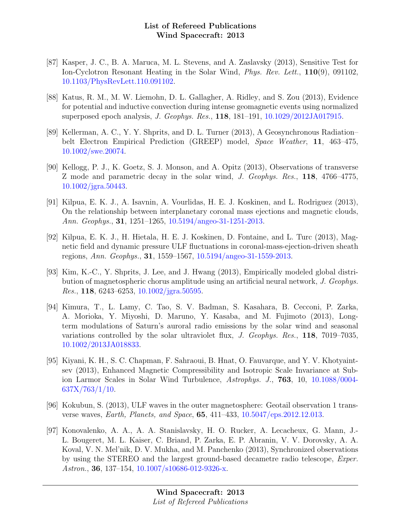- [87] Kasper, J. C., B. A. Maruca, M. L. Stevens, and A. Zaslavsky (2013), Sensitive Test for Ion-Cyclotron Resonant Heating in the Solar Wind, Phys. Rev. Lett., 110(9), 091102, [10.1103/PhysRevLett.110.091102.](http://dx.doi.org/10.1103/PhysRevLett.110.091102)
- [88] Katus, R. M., M. W. Liemohn, D. L. Gallagher, A. Ridley, and S. Zou (2013), Evidence for potential and inductive convection during intense geomagnetic events using normalized superposed epoch analysis, J. Geophys. Res., 118, 181–191, [10.1029/2012JA017915.](http://dx.doi.org/10.1029/2012JA017915)
- [89] Kellerman, A. C., Y. Y. Shprits, and D. L. Turner (2013), A Geosynchronous Radiation– belt Electron Empirical Prediction (GREEP) model, Space Weather, 11, 463–475, [10.1002/swe.20074.](http://dx.doi.org/10.1002/swe.20074)
- [90] Kellogg, P. J., K. Goetz, S. J. Monson, and A. Opitz (2013), Observations of transverse Z mode and parametric decay in the solar wind, J. Geophys. Res., 118, 4766–4775, [10.1002/jgra.50443.](http://dx.doi.org/10.1002/jgra.50443)
- [91] Kilpua, E. K. J., A. Isavnin, A. Vourlidas, H. E. J. Koskinen, and L. Rodriguez (2013), On the relationship between interplanetary coronal mass ejections and magnetic clouds, Ann. Geophys., 31, 1251–1265, [10.5194/angeo-31-1251-2013.](http://dx.doi.org/10.5194/angeo-31-1251-2013)
- [92] Kilpua, E. K. J., H. Hietala, H. E. J. Koskinen, D. Fontaine, and L. Turc (2013), Magnetic field and dynamic pressure ULF fluctuations in coronal-mass-ejection-driven sheath regions, Ann. Geophys., 31, 1559–1567, [10.5194/angeo-31-1559-2013.](http://dx.doi.org/10.5194/angeo-31-1559-2013)
- [93] Kim, K.-C., Y. Shprits, J. Lee, and J. Hwang (2013), Empirically modeled global distribution of magnetospheric chorus amplitude using an artificial neural network, J. Geophys. Res., 118, 6243–6253, [10.1002/jgra.50595.](http://dx.doi.org/10.1002/jgra.50595)
- [94] Kimura, T., L. Lamy, C. Tao, S. V. Badman, S. Kasahara, B. Cecconi, P. Zarka, A. Morioka, Y. Miyoshi, D. Maruno, Y. Kasaba, and M. Fujimoto (2013), Longterm modulations of Saturn's auroral radio emissions by the solar wind and seasonal variations controlled by the solar ultraviolet flux, J. Geophys. Res., 118, 7019–7035, [10.1002/2013JA018833.](http://dx.doi.org/10.1002/2013JA018833)
- [95] Kiyani, K. H., S. C. Chapman, F. Sahraoui, B. Hnat, O. Fauvarque, and Y. V. Khotyaintsev (2013), Enhanced Magnetic Compressibility and Isotropic Scale Invariance at Subion Larmor Scales in Solar Wind Turbulence, Astrophys. J., 763, 10, [10.1088/0004-](http://dx.doi.org/10.1088/0004-637X/763/1/10)  $637X/763/1/10$ .
- [96] Kokubun, S. (2013), ULF waves in the outer magnetosphere: Geotail observation 1 transverse waves, Earth, Planets, and Space, 65, 411–433, [10.5047/eps.2012.12.013.](http://dx.doi.org/10.5047/eps.2012.12.013)
- [97] Konovalenko, A. A., A. A. Stanislavsky, H. O. Rucker, A. Lecacheux, G. Mann, J.- L. Bougeret, M. L. Kaiser, C. Briand, P. Zarka, E. P. Abranin, V. V. Dorovsky, A. A. Koval, V. N. Mel'nik, D. V. Mukha, and M. Panchenko (2013), Synchronized observations by using the STEREO and the largest ground-based decametre radio telescope, Exper. Astron., 36, 137–154, [10.1007/s10686-012-9326-x.](http://dx.doi.org/10.1007/s10686-012-9326-x)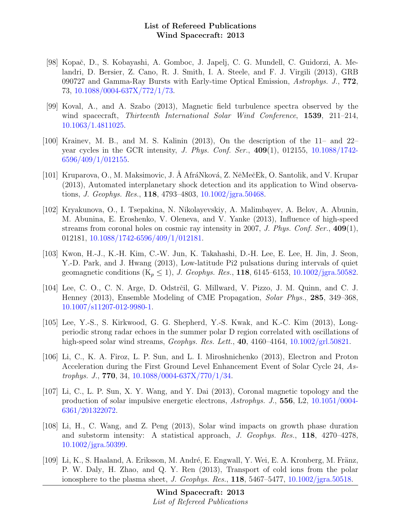- [98] Kopaˇc, D., S. Kobayashi, A. Gomboc, J. Japelj, C. G. Mundell, C. Guidorzi, A. Melandri, D. Bersier, Z. Cano, R. J. Smith, I. A. Steele, and F. J. Virgili (2013), GRB 090727 and Gamma-Ray Bursts with Early-time Optical Emission, Astrophys. J., 772, 73, [10.1088/0004-637X/772/1/73.](http://dx.doi.org/10.1088/0004-637X/772/1/73)
- [99] Koval, A., and A. Szabo (2013), Magnetic field turbulence spectra observed by the wind spacecraft, *Thirteenth International Solar Wind Conference*, **1539**, 211–214, [10.1063/1.4811025.](http://dx.doi.org/10.1063/1.4811025)
- [100] Krainev, M. B., and M. S. Kalinin (2013), On the description of the 11– and 22– year cycles in the GCR intensity, J. Phys. Conf. Ser., 409(1), 012155, [10.1088/1742-](http://dx.doi.org/10.1088/1742-6596/409/1/012155) [6596/409/1/012155.](http://dx.doi.org/10.1088/1742-6596/409/1/012155)
- [101] Kruparova, O., M. Maksimovic, J. Å AfráNková, Z. NěMečEk, O. Santolik, and V. Krupar (2013), Automated interplanetary shock detection and its application to Wind observations, J. Geophys. Res., 118, 4793–4803, [10.1002/jgra.50468.](http://dx.doi.org/10.1002/jgra.50468)
- [102] Kryakunova, O., I. Tsepakina, N. Nikolayevskiy, A. Malimbayev, A. Belov, A. Abunin, M. Abunina, E. Eroshenko, V. Oleneva, and V. Yanke (2013), Influence of high-speed streams from coronal holes on cosmic ray intensity in 2007, J. Phys. Conf. Ser.,  $409(1)$ , 012181, [10.1088/1742-6596/409/1/012181.](http://dx.doi.org/10.1088/1742-6596/409/1/012181)
- [103] Kwon, H.-J., K.-H. Kim, C.-W. Jun, K. Takahashi, D.-H. Lee, E. Lee, H. Jin, J. Seon, Y.-D. Park, and J. Hwang (2013), Low-latitude Pi2 pulsations during intervals of quiet geomagnetic conditions  $(K_p \le 1)$ , J. Geophys. Res., 118, 6145–6153, [10.1002/jgra.50582.](http://dx.doi.org/10.1002/jgra.50582)
- [104] Lee, C. O., C. N. Arge, D. Odstrčil, G. Millward, V. Pizzo, J. M. Quinn, and C. J. Henney (2013), Ensemble Modeling of CME Propagation, Solar Phys., 285, 349–368, [10.1007/s11207-012-9980-1.](http://dx.doi.org/10.1007/s11207-012-9980-1)
- [105] Lee, Y.-S., S. Kirkwood, G. G. Shepherd, Y.-S. Kwak, and K.-C. Kim (2013), Longperiodic strong radar echoes in the summer polar D region correlated with oscillations of high-speed solar wind streams, *Geophys. Res. Lett.*, **40**, 4160–4164, [10.1002/grl.50821.](http://dx.doi.org/10.1002/grl.50821)
- [106] Li, C., K. A. Firoz, L. P. Sun, and L. I. Miroshnichenko (2013), Electron and Proton Acceleration during the First Ground Level Enhancement Event of Solar Cycle 24, Astrophys. J., 770, 34, [10.1088/0004-637X/770/1/34.](http://dx.doi.org/10.1088/0004-637X/770/1/34)
- [107] Li, C., L. P. Sun, X. Y. Wang, and Y. Dai (2013), Coronal magnetic topology and the production of solar impulsive energetic electrons, Astrophys. J., 556, L2, [10.1051/0004-](http://dx.doi.org/10.1051/0004-6361/201322072) [6361/201322072.](http://dx.doi.org/10.1051/0004-6361/201322072)
- [108] Li, H., C. Wang, and Z. Peng (2013), Solar wind impacts on growth phase duration and substorm intensity: A statistical approach, J. Geophys. Res., 118, 4270–4278, [10.1002/jgra.50399.](http://dx.doi.org/10.1002/jgra.50399)
- [109] Li, K., S. Haaland, A. Eriksson, M. André, E. Engwall, Y. Wei, E. A. Kronberg, M. Fränz, P. W. Daly, H. Zhao, and Q. Y. Ren (2013), Transport of cold ions from the polar ionosphere to the plasma sheet, J. Geophys. Res.,  $118$ ,  $5467-5477$ ,  $10.1002/\text{jgra}.50518$ .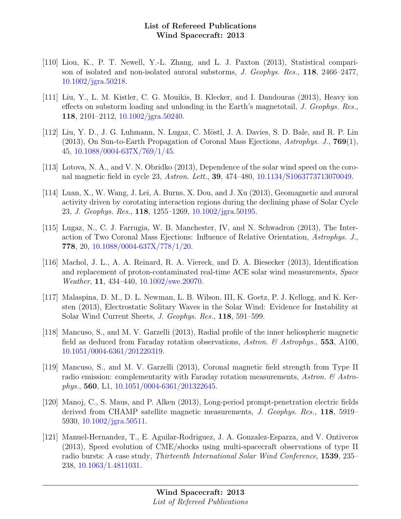- [110] Liou, K., P. T. Newell, Y.-L. Zhang, and L. J. Paxton (2013), Statistical comparison of isolated and non-isolated auroral substorms, J. Geophys. Res., 118, 2466–2477, [10.1002/jgra.50218.](http://dx.doi.org/10.1002/jgra.50218)
- [111] Liu, Y., L. M. Kistler, C. G. Mouikis, B. Klecker, and I. Dandouras (2013), Heavy ion effects on substorm loading and unloading in the Earth's magnetotail, J. Geophys. Res., 118, 2101–2112, [10.1002/jgra.50240.](http://dx.doi.org/10.1002/jgra.50240)
- [112] Liu, Y. D., J. G. Luhmann, N. Lugaz, C. Möstl, J. A. Davies, S. D. Bale, and R. P. Lin (2013), On Sun-to-Earth Propagation of Coronal Mass Ejections, Astrophys. J., 769(1), 45, [10.1088/0004-637X/769/1/45.](http://dx.doi.org/10.1088/0004-637X/769/1/45)
- [113] Lotova, N. A., and V. N. Obridko (2013), Dependence of the solar wind speed on the coronal magnetic field in cycle 23, Astron. Lett., 39, 474–480, [10.1134/S1063773713070049.](http://dx.doi.org/10.1134/S1063773713070049)
- [114] Luan, X., W. Wang, J. Lei, A. Burns, X. Dou, and J. Xu (2013), Geomagnetic and auroral activity driven by corotating interaction regions during the declining phase of Solar Cycle 23, J. Geophys. Res., 118, 1255–1269, [10.1002/jgra.50195.](http://dx.doi.org/10.1002/jgra.50195)
- [115] Lugaz, N., C. J. Farrugia, W. B. Manchester, IV, and N. Schwadron (2013), The Interaction of Two Coronal Mass Ejections: Influence of Relative Orientation, Astrophys. J., 778, 20, [10.1088/0004-637X/778/1/20.](http://dx.doi.org/10.1088/0004-637X/778/1/20)
- [116] Machol, J. L., A. A. Reinard, R. A. Viereck, and D. A. Biesecker (2013), Identification and replacement of proton-contaminated real-time ACE solar wind measurements, Space Weather, 11, 434–440, [10.1002/swe.20070.](http://dx.doi.org/10.1002/swe.20070)
- [117] Malaspina, D. M., D. L. Newman, L. B. Wilson, III, K. Goetz, P. J. Kellogg, and K. Kersten (2013), Electrostatic Solitary Waves in the Solar Wind: Evidence for Instability at Solar Wind Current Sheets, J. Geophys. Res., 118, 591–599.
- [118] Mancuso, S., and M. V. Garzelli (2013), Radial profile of the inner heliospheric magnetic field as deduced from Faraday rotation observations, Astron.  $\mathcal{C}$  Astrophys., 553, A100, [10.1051/0004-6361/201220319.](http://dx.doi.org/10.1051/0004-6361/201220319)
- [119] Mancuso, S., and M. V. Garzelli (2013), Coronal magnetic field strength from Type II radio emission: complementarity with Faraday rotation measurements, Astron.  $\mathcal{C}$  Astrophys., 560, L1, [10.1051/0004-6361/201322645.](http://dx.doi.org/10.1051/0004-6361/201322645)
- [120] Manoj, C., S. Maus, and P. Alken (2013), Long-period prompt-penetration electric fields derived from CHAMP satellite magnetic measurements, J. Geophys. Res., 118, 5919– 5930, [10.1002/jgra.50511.](http://dx.doi.org/10.1002/jgra.50511)
- [121] Manuel-Hernandez, T., E. Aguilar-Rodriguez, J. A. Gonzalez-Esparza, and V. Ontiveros (2013), Speed evolution of CME/shocks using multi-spacecraft observations of type II radio bursts: A case study, Thirteenth International Solar Wind Conference, 1539, 235– 238, [10.1063/1.4811031.](http://dx.doi.org/10.1063/1.4811031)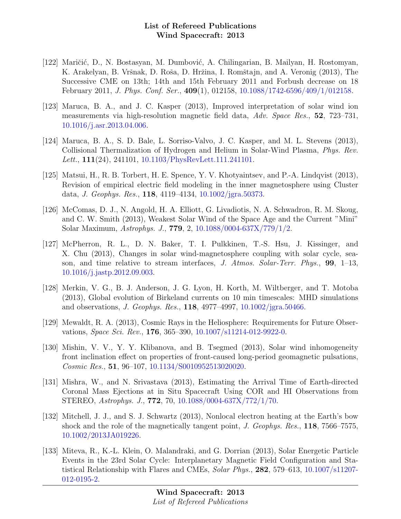- [122] Maričić, D., N. Bostasyan, M. Dumbović, A. Chilingarian, B. Mailyan, H. Rostomyan, K. Arakelyan, B. Vršnak, D. Roša, D. Hržina, I. Romštajn, and A. Veronig (2013), The Successive CME on 13th; 14th and 15th February 2011 and Forbush decrease on 18 February 2011, J. Phys. Conf. Ser., 409(1), 012158, [10.1088/1742-6596/409/1/012158.](http://dx.doi.org/10.1088/1742-6596/409/1/012158)
- [123] Maruca, B. A., and J. C. Kasper (2013), Improved interpretation of solar wind ion measurements via high-resolution magnetic field data, Adv. Space Res., 52, 723–731, [10.1016/j.asr.2013.04.006.](http://dx.doi.org/10.1016/j.asr.2013.04.006)
- [124] Maruca, B. A., S. D. Bale, L. Sorriso-Valvo, J. C. Kasper, and M. L. Stevens (2013), Collisional Thermalization of Hydrogen and Helium in Solar-Wind Plasma, Phys. Rev. Lett., **111**(24), 241101, [10.1103/PhysRevLett.111.241101.](http://dx.doi.org/10.1103/PhysRevLett.111.241101)
- [125] Matsui, H., R. B. Torbert, H. E. Spence, Y. V. Khotyaintsev, and P.-A. Lindqvist (2013), Revision of empirical electric field modeling in the inner magnetosphere using Cluster data, J. Geophys. Res., 118, 4119–4134, [10.1002/jgra.50373.](http://dx.doi.org/10.1002/jgra.50373)
- [126] McComas, D. J., N. Angold, H. A. Elliott, G. Livadiotis, N. A. Schwadron, R. M. Skoug, and C. W. Smith (2013), Weakest Solar Wind of the Space Age and the Current "Mini" Solar Maximum, Astrophys. J., 779, 2, [10.1088/0004-637X/779/1/2.](http://dx.doi.org/10.1088/0004-637X/779/1/2)
- [127] McPherron, R. L., D. N. Baker, T. I. Pulkkinen, T.-S. Hsu, J. Kissinger, and X. Chu (2013), Changes in solar wind-magnetosphere coupling with solar cycle, season, and time relative to stream interfaces, J. Atmos. Solar-Terr. Phys.,  $99, 1-13$ , [10.1016/j.jastp.2012.09.003.](http://dx.doi.org/10.1016/j.jastp.2012.09.003)
- [128] Merkin, V. G., B. J. Anderson, J. G. Lyon, H. Korth, M. Wiltberger, and T. Motoba (2013), Global evolution of Birkeland currents on 10 min timescales: MHD simulations and observations, J. Geophys. Res., 118, 4977–4997, [10.1002/jgra.50466.](http://dx.doi.org/10.1002/jgra.50466)
- [129] Mewaldt, R. A. (2013), Cosmic Rays in the Heliosphere: Requirements for Future Observations, Space Sci. Rev., 176, 365–390, [10.1007/s11214-012-9922-0.](http://dx.doi.org/10.1007/s11214-012-9922-0)
- [130] Mishin, V. V., Y. Y. Klibanova, and B. Tsegmed (2013), Solar wind inhomogeneity front inclination effect on properties of front-caused long-period geomagnetic pulsations, Cosmic Res., 51, 96–107, [10.1134/S0010952513020020.](http://dx.doi.org/10.1134/S0010952513020020)
- [131] Mishra, W., and N. Srivastava (2013), Estimating the Arrival Time of Earth-directed Coronal Mass Ejections at in Situ Spacecraft Using COR and HI Observations from STEREO, Astrophys. J., 772, 70, [10.1088/0004-637X/772/1/70.](http://dx.doi.org/10.1088/0004-637X/772/1/70)
- [132] Mitchell, J. J., and S. J. Schwartz (2013), Nonlocal electron heating at the Earth's bow shock and the role of the magnetically tangent point, J. Geophys. Res., 118, 7566–7575, [10.1002/2013JA019226.](http://dx.doi.org/10.1002/2013JA019226)
- [133] Miteva, R., K.-L. Klein, O. Malandraki, and G. Dorrian (2013), Solar Energetic Particle Events in the 23rd Solar Cycle: Interplanetary Magnetic Field Configuration and Statistical Relationship with Flares and CMEs, Solar Phys., 282, 579–613, [10.1007/s11207-](http://dx.doi.org/10.1007/s11207-012-0195-2) [012-0195-2.](http://dx.doi.org/10.1007/s11207-012-0195-2)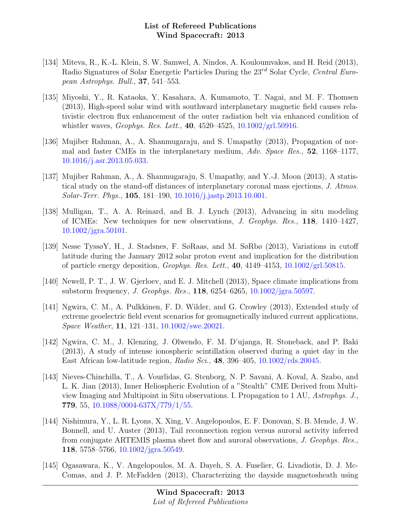- [134] Miteva, R., K.-L. Klein, S. W. Samwel, A. Nindos, A. Kouloumvakos, and H. Reid (2013), Radio Signatures of Solar Energetic Particles During the  $23^{rd}$  Solar Cycle, Central European Astrophys. Bull., 37, 541–553.
- [135] Miyoshi, Y., R. Kataoka, Y. Kasahara, A. Kumamoto, T. Nagai, and M. F. Thomsen (2013), High-speed solar wind with southward interplanetary magnetic field causes relativistic electron flux enhancement of the outer radiation belt via enhanced condition of whistler waves, *Geophys. Res. Lett.*, **40**, 4520-4525,  $10.1002\text{/grl.}50916$ .
- [136] Mujiber Rahman, A., A. Shanmugaraju, and S. Umapathy (2013), Propagation of normal and faster CMEs in the interplanetary medium, Adv. Space Res., 52, 1168–1177, [10.1016/j.asr.2013.05.033.](http://dx.doi.org/10.1016/j.asr.2013.05.033)
- [137] Mujiber Rahman, A., A. Shanmugaraju, S. Umapathy, and Y.-J. Moon (2013), A statistical study on the stand-off distances of interplanetary coronal mass ejections, J. Atmos. Solar-Terr. Phys., 105, 181–190, [10.1016/j.jastp.2013.10.001.](http://dx.doi.org/10.1016/j.jastp.2013.10.001)
- [138] Mulligan, T., A. A. Reinard, and B. J. Lynch (2013), Advancing in situ modeling of ICMEs: New techniques for new observations, J. Geophys. Res., 118, 1410–1427, [10.1002/jgra.50101.](http://dx.doi.org/10.1002/jgra.50101)
- [139] Nesse TyssøY, H., J. Stadsnes, F. SøRaas, and M. SøRbø (2013), Variations in cutoff latitude during the January 2012 solar proton event and implication for the distribution of particle energy deposition, *Geophys. Res. Lett.*, **40**,  $4149-4153$ ,  $10.1002\text{/grl.50815}$ .
- [140] Newell, P. T., J. W. Gjerloev, and E. J. Mitchell (2013), Space climate implications from substorm frequency, J. Geophys. Res., 118, 6254–6265, [10.1002/jgra.50597.](http://dx.doi.org/10.1002/jgra.50597)
- [141] Ngwira, C. M., A. Pulkkinen, F. D. Wilder, and G. Crowley (2013), Extended study of extreme geoelectric field event scenarios for geomagnetically induced current applications, Space Weather, 11, 121–131, [10.1002/swe.20021.](http://dx.doi.org/10.1002/swe.20021)
- [142] Ngwira, C. M., J. Klenzing, J. Olwendo, F. M. D'ujanga, R. Stoneback, and P. Baki (2013), A study of intense ionospheric scintillation observed during a quiet day in the East African low-latitude region, Radio Sci., 48, 396–405,  $10.1002/\text{rds}.20045$ .
- [143] Nieves-Chinchilla, T., A. Vourlidas, G. Stenborg, N. P. Savani, A. Koval, A. Szabo, and L. K. Jian (2013), Inner Heliospheric Evolution of a "Stealth" CME Derived from Multiview Imaging and Multipoint in Situ observations. I. Propagation to 1 AU, Astrophys. J., 779, 55, [10.1088/0004-637X/779/1/55.](http://dx.doi.org/10.1088/0004-637X/779/1/55)
- [144] Nishimura, Y., L. R. Lyons, X. Xing, V. Angelopoulos, E. F. Donovan, S. B. Mende, J. W. Bonnell, and U. Auster (2013), Tail reconnection region versus auroral activity inferred from conjugate ARTEMIS plasma sheet flow and auroral observations, J. Geophys. Res., 118, 5758–5766, [10.1002/jgra.50549.](http://dx.doi.org/10.1002/jgra.50549)
- [145] Ogasawara, K., V. Angelopoulos, M. A. Dayeh, S. A. Fuselier, G. Livadiotis, D. J. Mc-Comas, and J. P. McFadden (2013), Characterizing the dayside magnetosheath using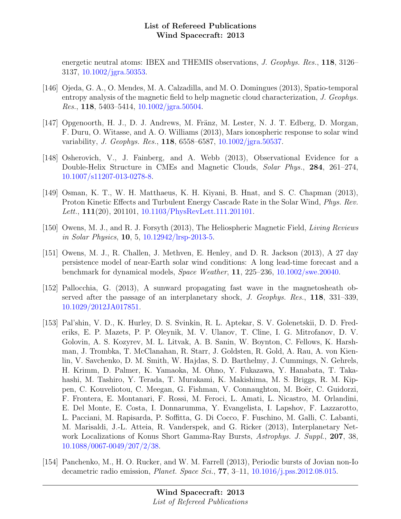energetic neutral atoms: IBEX and THEMIS observations, J. Geophys. Res., 118, 3126– 3137, [10.1002/jgra.50353.](http://dx.doi.org/10.1002/jgra.50353)

- [146] Ojeda, G. A., O. Mendes, M. A. Calzadilla, and M. O. Domingues (2013), Spatio-temporal entropy analysis of the magnetic field to help magnetic cloud characterization, J. Geophys. Res., 118, 5403–5414, [10.1002/jgra.50504.](http://dx.doi.org/10.1002/jgra.50504)
- [147] Opgenoorth, H. J., D. J. Andrews, M. Fränz, M. Lester, N. J. T. Edberg, D. Morgan, F. Duru, O. Witasse, and A. O. Williams (2013), Mars ionospheric response to solar wind variability, J. Geophys. Res., 118, 6558–6587, [10.1002/jgra.50537.](http://dx.doi.org/10.1002/jgra.50537)
- [148] Osherovich, V., J. Fainberg, and A. Webb (2013), Observational Evidence for a Double-Helix Structure in CMEs and Magnetic Clouds, Solar Phys., 284, 261–274, [10.1007/s11207-013-0278-8.](http://dx.doi.org/10.1007/s11207-013-0278-8)
- [149] Osman, K. T., W. H. Matthaeus, K. H. Kiyani, B. Hnat, and S. C. Chapman (2013), Proton Kinetic Effects and Turbulent Energy Cascade Rate in the Solar Wind, Phys. Rev. Lett., 111(20), 201101, [10.1103/PhysRevLett.111.201101.](http://dx.doi.org/10.1103/PhysRevLett.111.201101)
- [150] Owens, M. J., and R. J. Forsyth (2013), The Heliospheric Magnetic Field, Living Reviews in Solar Physics, 10, 5, [10.12942/lrsp-2013-5.](http://dx.doi.org/10.12942/lrsp-2013-5)
- [151] Owens, M. J., R. Challen, J. Methven, E. Henley, and D. R. Jackson (2013), A 27 day persistence model of near-Earth solar wind conditions: A long lead-time forecast and a benchmark for dynamical models, Space Weather, 11, 225–236, [10.1002/swe.20040.](http://dx.doi.org/10.1002/swe.20040)
- [152] Pallocchia, G. (2013), A sunward propagating fast wave in the magnetosheath observed after the passage of an interplanetary shock, J. Geophys. Res., 118, 331–339, [10.1029/2012JA017851.](http://dx.doi.org/10.1029/2012JA017851)
- [153] Pal'shin, V. D., K. Hurley, D. S. Svinkin, R. L. Aptekar, S. V. Golenetskii, D. D. Frederiks, E. P. Mazets, P. P. Oleynik, M. V. Ulanov, T. Cline, I. G. Mitrofanov, D. V. Golovin, A. S. Kozyrev, M. L. Litvak, A. B. Sanin, W. Boynton, C. Fellows, K. Harshman, J. Trombka, T. McClanahan, R. Starr, J. Goldsten, R. Gold, A. Rau, A. von Kienlin, V. Savchenko, D. M. Smith, W. Hajdas, S. D. Barthelmy, J. Cummings, N. Gehrels, H. Krimm, D. Palmer, K. Yamaoka, M. Ohno, Y. Fukazawa, Y. Hanabata, T. Takahashi, M. Tashiro, Y. Terada, T. Murakami, K. Makishima, M. S. Briggs, R. M. Kippen, C. Kouveliotou, C. Meegan, G. Fishman, V. Connaughton, M. Boër, C. Guidorzi, F. Frontera, E. Montanari, F. Rossi, M. Feroci, L. Amati, L. Nicastro, M. Orlandini, E. Del Monte, E. Costa, I. Donnarumma, Y. Evangelista, I. Lapshov, F. Lazzarotto, L. Pacciani, M. Rapisarda, P. Soffitta, G. Di Cocco, F. Fuschino, M. Galli, C. Labanti, M. Marisaldi, J.-L. Atteia, R. Vanderspek, and G. Ricker (2013), Interplanetary Network Localizations of Konus Short Gamma-Ray Bursts, Astrophys. J. Suppl., 207, 38, [10.1088/0067-0049/207/2/38.](http://dx.doi.org/10.1088/0067-0049/207/2/38)
- [154] Panchenko, M., H. O. Rucker, and W. M. Farrell (2013), Periodic bursts of Jovian non-Io decametric radio emission, Planet. Space Sci., 77, 3–11, [10.1016/j.pss.2012.08.015.](http://dx.doi.org/10.1016/j.pss.2012.08.015)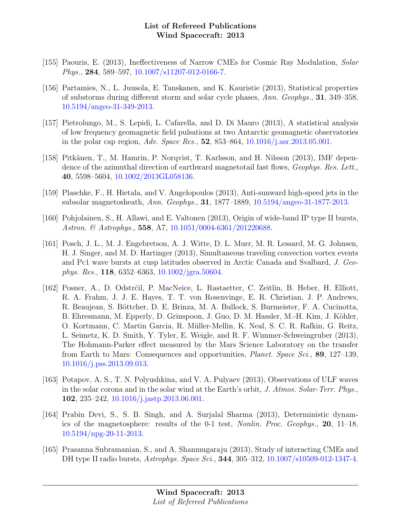- [155] Paouris, E. (2013), Ineffectiveness of Narrow CMEs for Cosmic Ray Modulation, Solar Phys., 284, 589–597, [10.1007/s11207-012-0166-7.](http://dx.doi.org/10.1007/s11207-012-0166-7)
- [156] Partamies, N., L. Juusola, E. Tanskanen, and K. Kauristie (2013), Statistical properties of substorms during different storm and solar cycle phases, Ann. Geophys., 31, 349–358, [10.5194/angeo-31-349-2013.](http://dx.doi.org/10.5194/angeo-31-349-2013)
- [157] Pietrolungo, M., S. Lepidi, L. Cafarella, and D. Di Mauro (2013), A statistical analysis of low frequency geomagnetic field pulsations at two Antarctic geomagnetic observatories in the polar cap region, *Adv. Space Res.*, **52**, 853–864, [10.1016/j.asr.2013.05.001.](http://dx.doi.org/10.1016/j.asr.2013.05.001)
- [158] Pitkänen, T., M. Hamrin, P. Norqvist, T. Karlsson, and H. Nilsson (2013), IMF dependence of the azimuthal direction of earthward magnetotail fast flows, *Geophys. Res. Lett.*, 40, 5598–5604, [10.1002/2013GL058136.](http://dx.doi.org/10.1002/2013GL058136)
- [159] Plaschke, F., H. Hietala, and V. Angelopoulos (2013), Anti-sunward high-speed jets in the subsolar magnetosheath, Ann. Geophys., 31, 1877–1889, [10.5194/angeo-31-1877-2013.](http://dx.doi.org/10.5194/angeo-31-1877-2013)
- [160] Pohjolainen, S., H. Allawi, and E. Valtonen (2013), Origin of wide-band IP type II bursts, Astron. & Astrophys., 558, A7, [10.1051/0004-6361/201220688.](http://dx.doi.org/10.1051/0004-6361/201220688)
- [161] Posch, J. L., M. J. Engebretson, A. J. Witte, D. L. Murr, M. R. Lessard, M. G. Johnsen, H. J. Singer, and M. D. Hartinger (2013), Simultaneous traveling convection vortex events and Pc1 wave bursts at cusp latitudes observed in Arctic Canada and Svalbard, J. Geophys. Res., 118, 6352–6363, [10.1002/jgra.50604.](http://dx.doi.org/10.1002/jgra.50604)
- [162] Posner, A., D. Odstrĉil, P. MacNeice, L. Rastaetter, C. Zeitlin, B. Heber, H. Elliott, R. A. Frahm, J. J. E. Hayes, T. T. von Rosenvinge, E. R. Christian, J. P. Andrews, R. Beaujean, S. Böttcher, D. E. Brinza, M. A. Bullock, S. Burmeister, F. A. Cucinotta, B. Ehresmann, M. Epperly, D. Grinspoon, J. Guo, D. M. Hassler, M.-H. Kim, J. Köhler, O. Kortmann, C. Martin Garcia, R. Müller-Mellin, K. Neal, S. C. R. Rafkin, G. Reitz, L. Seimetz, K. D. Smith, Y. Tyler, E. Weigle, and R. F. Wimmer-Schweingruber (2013), The Hohmann-Parker effect measured by the Mars Science Laboratory on the transfer from Earth to Mars: Consequences and opportunities, Planet. Space Sci., 89, 127–139, [10.1016/j.pss.2013.09.013.](http://dx.doi.org/10.1016/j.pss.2013.09.013)
- [163] Potapov, A. S., T. N. Polyushkina, and V. A. Pulyaev (2013), Observations of ULF waves in the solar corona and in the solar wind at the Earth's orbit, J. Atmos. Solar-Terr. Phys., 102, 235–242, [10.1016/j.jastp.2013.06.001.](http://dx.doi.org/10.1016/j.jastp.2013.06.001)
- [164] Prabin Devi, S., S. B. Singh, and A. Surjalal Sharma (2013), Deterministic dynamics of the magnetosphere: results of the 0-1 test, Nonlin. Proc. Geophys., 20, 11–18, [10.5194/npg-20-11-2013.](http://dx.doi.org/10.5194/npg-20-11-2013)
- [165] Prasanna Subramanian, S., and A. Shanmugaraju (2013), Study of interacting CMEs and DH type II radio bursts, *Astrophys. Space Sci.*, **344**, 305–312, [10.1007/s10509-012-1347-4.](http://dx.doi.org/10.1007/s10509-012-1347-4)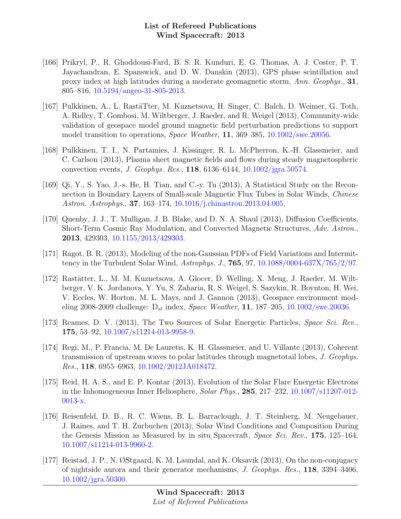- [166] Prikryl, P., R. Ghoddousi-Fard, B. S. R. Kunduri, E. G. Thomas, A. J. Coster, P. T. Jayachandran, E. Spanswick, and D. W. Danskin (2013), GPS phase scintillation and proxy index at high latitudes during a moderate geomagnetic storm, Ann. Geophys., 31, 805–816, [10.5194/angeo-31-805-2013.](http://dx.doi.org/10.5194/angeo-31-805-2013)
- [167] Pulkkinen, A., L. RastäTter, M. Kuznetsova, H. Singer, C. Balch, D. Weimer, G. Toth, A. Ridley, T. Gombosi, M. Wiltberger, J. Raeder, and R. Weigel (2013), Community-wide validation of geospace model ground magnetic field perturbation predictions to support model transition to operations, Space Weather, 11, 369–385, [10.1002/swe.20056.](http://dx.doi.org/10.1002/swe.20056)
- [168] Pulkkinen, T. I., N. Partamies, J. Kissinger, R. L. McPherron, K.-H. Glassmeier, and C. Carlson (2013), Plasma sheet magnetic fields and flows during steady magnetospheric convection events, J. Geophys. Res., 118, 6136–6144, [10.1002/jgra.50574.](http://dx.doi.org/10.1002/jgra.50574)
- [169] Qi, Y., S. Yao, J.-s. He, H. Tian, and C.-y. Tu (2013), A Statistical Study on the Reconnection in Boundary Layers of Small-scale Magnetic Flux Tubes in Solar Winds, Chinese Astron. Astrophys., 37, 163–174, [10.1016/j.chinastron.2013.04.005.](http://dx.doi.org/10.1016/j.chinastron.2013.04.005)
- [170] Quenby, J. J., T. Mulligan, J. B. Blake, and D. N. A. Shaul (2013), Diffusion Coefficients, Short-Term Cosmic Ray Modulation, and Convected Magnetic Structures, Adv. Astron., 2013, 429303, [10.1155/2013/429303.](http://dx.doi.org/10.1155/2013/429303)
- [171] Ragot, B. R. (2013), Modeling of the non-Gaussian PDFs of Field Variations and Intermittency in the Turbulent Solar Wind, Astrophys. J., 765, 97, [10.1088/0004-637X/765/2/97.](http://dx.doi.org/10.1088/0004-637X/765/2/97)
- [172] Rastätter, L., M. M. Kuznetsova, A. Glocer, D. Welling, X. Meng, J. Raeder, M. Wiltberger, V. K. Jordanova, Y. Yu, S. Zaharia, R. S. Weigel, S. Sazykin, R. Boynton, H. Wei, V. Eccles, W. Horton, M. L. Mays, and J. Gannon (2013), Geospace environment modeling 2008-2009 challenge:  $D_{st}$  index, *Space Weather*, 11, 187-205, [10.1002/swe.20036.](http://dx.doi.org/10.1002/swe.20036)
- [173] Reames, D. V. (2013), The Two Sources of Solar Energetic Particles, Space Sci. Rev., 175, 53–92, [10.1007/s11214-013-9958-9.](http://dx.doi.org/10.1007/s11214-013-9958-9)
- [174] Regi, M., P. Francia, M. De Lauretis, K. H. Glassmeier, and U. Villante (2013), Coherent transmission of upstream waves to polar latitudes through magnetotail lobes, J. Geophys. Res., 118, 6955–6963, [10.1002/2012JA018472.](http://dx.doi.org/10.1002/2012JA018472)
- [175] Reid, H. A. S., and E. P. Kontar (2013), Evolution of the Solar Flare Energetic Electrons in the Inhomogeneous Inner Heliosphere, Solar Phys., 285, 217–232, [10.1007/s11207-012-](http://dx.doi.org/10.1007/s11207-012-0013-x) [0013-x.](http://dx.doi.org/10.1007/s11207-012-0013-x)
- [176] Reisenfeld, D. B., R. C. Wiens, B. L. Barraclough, J. T. Steinberg, M. Neugebauer, J. Raines, and T. H. Zurbuchen (2013), Solar Wind Conditions and Composition During the Genesis Mission as Measured by in situ Spacecraft, Space Sci. Rev., 175, 125–164, [10.1007/s11214-013-9960-2.](http://dx.doi.org/10.1007/s11214-013-9960-2)
- [177] Reistad, J. P., N. ØStgaard, K. M. Laundal, and K. Oksavik (2013), On the non-conjugacy of nightside aurora and their generator mechanisms, J. Geophys. Res., 118, 3394–3406, [10.1002/jgra.50300.](http://dx.doi.org/10.1002/jgra.50300)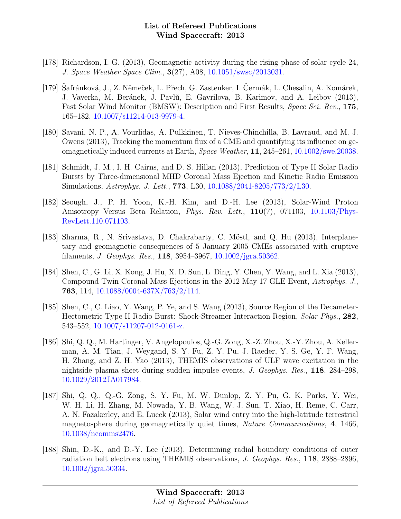- [178] Richardson, I. G. (2013), Geomagnetic activity during the rising phase of solar cycle 24, J. Space Weather Space Clim., 3(27), A08, [10.1051/swsc/2013031.](http://dx.doi.org/10.1051/swsc/2013031)
- [179] Safránková, J., Z. Němeček, L. Přech, G. Zastenker, I. Čermák, L. Chesalin, A. Komárek, J. Vaverka, M. Beránek, J. Pavlŭ, E. Gavrilova, B. Karimov, and A. Leibov (2013), Fast Solar Wind Monitor (BMSW): Description and First Results, Space Sci. Rev., 175, 165–182, [10.1007/s11214-013-9979-4.](http://dx.doi.org/10.1007/s11214-013-9979-4)
- [180] Savani, N. P., A. Vourlidas, A. Pulkkinen, T. Nieves-Chinchilla, B. Lavraud, and M. J. Owens (2013), Tracking the momentum flux of a CME and quantifying its influence on geomagnetically induced currents at Earth, Space Weather, 11, 245–261, [10.1002/swe.20038.](http://dx.doi.org/10.1002/swe.20038)
- [181] Schmidt, J. M., I. H. Cairns, and D. S. Hillan (2013), Prediction of Type II Solar Radio Bursts by Three-dimensional MHD Coronal Mass Ejection and Kinetic Radio Emission Simulations, Astrophys. J. Lett., 773, L30, [10.1088/2041-8205/773/2/L30.](http://dx.doi.org/10.1088/2041-8205/773/2/L30)
- [182] Seough, J., P. H. Yoon, K.-H. Kim, and D.-H. Lee (2013), Solar-Wind Proton Anisotropy Versus Beta Relation, Phys. Rev. Lett., 110(7), 071103, [10.1103/Phys-](http://dx.doi.org/10.1103/PhysRevLett.110.071103)[RevLett.110.071103.](http://dx.doi.org/10.1103/PhysRevLett.110.071103)
- [183] Sharma, R., N. Srivastava, D. Chakrabarty, C. Möstl, and Q. Hu (2013), Interplanetary and geomagnetic consequences of 5 January 2005 CMEs associated with eruptive filaments, J. Geophys. Res., 118, 3954–3967, [10.1002/jgra.50362.](http://dx.doi.org/10.1002/jgra.50362)
- [184] Shen, C., G. Li, X. Kong, J. Hu, X. D. Sun, L. Ding, Y. Chen, Y. Wang, and L. Xia (2013), Compound Twin Coronal Mass Ejections in the 2012 May 17 GLE Event, Astrophys. J., 763, 114, [10.1088/0004-637X/763/2/114.](http://dx.doi.org/10.1088/0004-637X/763/2/114)
- [185] Shen, C., C. Liao, Y. Wang, P. Ye, and S. Wang (2013), Source Region of the Decameter-Hectometric Type II Radio Burst: Shock-Streamer Interaction Region, Solar Phys., 282, 543–552, [10.1007/s11207-012-0161-z.](http://dx.doi.org/10.1007/s11207-012-0161-z)
- [186] Shi, Q. Q., M. Hartinger, V. Angelopoulos, Q.-G. Zong, X.-Z. Zhou, X.-Y. Zhou, A. Kellerman, A. M. Tian, J. Weygand, S. Y. Fu, Z. Y. Pu, J. Raeder, Y. S. Ge, Y. F. Wang, H. Zhang, and Z. H. Yao (2013), THEMIS observations of ULF wave excitation in the nightside plasma sheet during sudden impulse events, J. Geophys. Res., 118, 284–298, [10.1029/2012JA017984.](http://dx.doi.org/10.1029/2012JA017984)
- [187] Shi, Q. Q., Q.-G. Zong, S. Y. Fu, M. W. Dunlop, Z. Y. Pu, G. K. Parks, Y. Wei, W. H. Li, H. Zhang, M. Nowada, Y. B. Wang, W. J. Sun, T. Xiao, H. Reme, C. Carr, A. N. Fazakerley, and E. Lucek (2013), Solar wind entry into the high-latitude terrestrial magnetosphere during geomagnetically quiet times, Nature Communications, 4, 1466, [10.1038/ncomms2476.](http://dx.doi.org/10.1038/ncomms2476)
- [188] Shin, D.-K., and D.-Y. Lee (2013), Determining radial boundary conditions of outer radiation belt electrons using THEMIS observations, J. Geophys. Res., 118, 2888–2896, [10.1002/jgra.50334.](http://dx.doi.org/10.1002/jgra.50334)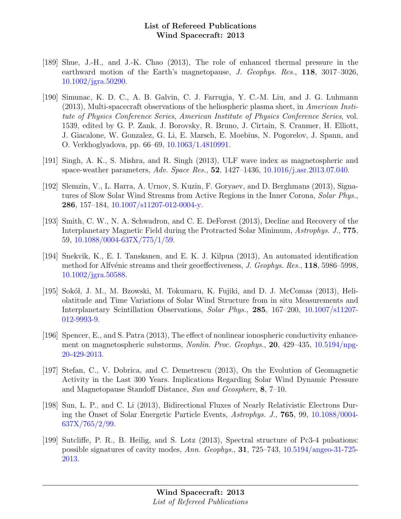- [189] Shue, J.-H., and J.-K. Chao (2013), The role of enhanced thermal pressure in the earthward motion of the Earth's magnetopause, J. Geophys. Res., 118, 3017-3026, [10.1002/jgra.50290.](http://dx.doi.org/10.1002/jgra.50290)
- [190] Simunac, K. D. C., A. B. Galvin, C. J. Farrugia, Y. C.-M. Liu, and J. G. Luhmann (2013), Multi-spacecraft observations of the heliospheric plasma sheet, in American Institute of Physics Conference Series, American Institute of Physics Conference Series, vol. 1539, edited by G. P. Zank, J. Borovsky, R. Bruno, J. Cirtain, S. Cranmer, H. Elliott, J. Giacalone, W. Gonzalez, G. Li, E. Marsch, E. Moebius, N. Pogorelov, J. Spann, and O. Verkhoglyadova, pp. 66–69, [10.1063/1.4810991.](http://dx.doi.org/10.1063/1.4810991)
- [191] Singh, A. K., S. Mishra, and R. Singh (2013), ULF wave index as magnetospheric and space-weather parameters, Adv. Space Res., 52, 1427–1436, [10.1016/j.asr.2013.07.040.](http://dx.doi.org/10.1016/j.asr.2013.07.040)
- [192] Slemzin, V., L. Harra, A. Urnov, S. Kuzin, F. Goryaev, and D. Berghmans (2013), Signatures of Slow Solar Wind Streams from Active Regions in the Inner Corona, Solar Phys., 286, 157–184, [10.1007/s11207-012-0004-y.](http://dx.doi.org/10.1007/s11207-012-0004-y)
- [193] Smith, C. W., N. A. Schwadron, and C. E. DeForest (2013), Decline and Recovery of the Interplanetary Magnetic Field during the Protracted Solar Minimum, Astrophys. J., 775, 59, [10.1088/0004-637X/775/1/59.](http://dx.doi.org/10.1088/0004-637X/775/1/59)
- [194] Snekvik, K., E. I. Tanskanen, and E. K. J. Kilpua (2013), An automated identification method for Alfvénic streams and their geoeffectiveness, J. Geophys. Res., 118, 5986–5998, [10.1002/jgra.50588.](http://dx.doi.org/10.1002/jgra.50588)
- [195] Sokół, J. M., M. Bzowski, M. Tokumaru, K. Fujiki, and D. J. McComas (2013), Heliolatitude and Time Variations of Solar Wind Structure from in situ Measurements and Interplanetary Scintillation Observations, Solar Phys., 285, 167–200, [10.1007/s11207-](http://dx.doi.org/10.1007/s11207-012-9993-9) [012-9993-9.](http://dx.doi.org/10.1007/s11207-012-9993-9)
- [196] Spencer, E., and S. Patra (2013), The effect of nonlinear ionospheric conductivity enhancement on magnetospheric substorms, Nonlin. Proc. Geophys., 20, 429–435, [10.5194/npg-](http://dx.doi.org/10.5194/npg-20-429-2013)[20-429-2013.](http://dx.doi.org/10.5194/npg-20-429-2013)
- [197] Stefan, C., V. Dobrica, and C. Demetrescu (2013), On the Evolution of Geomagnetic Activity in the Last 300 Years. Implications Regarding Solar Wind Dynamic Pressure and Magnetopause Standoff Distance, Sun and Geosphere, 8, 7–10.
- [198] Sun, L. P., and C. Li (2013), Bidirectional Fluxes of Nearly Relativistic Electrons During the Onset of Solar Energetic Particle Events, Astrophys. J., 765, 99, [10.1088/0004-](http://dx.doi.org/10.1088/0004-637X/765/2/99) [637X/765/2/99.](http://dx.doi.org/10.1088/0004-637X/765/2/99)
- [199] Sutcliffe, P. R., B. Heilig, and S. Lotz (2013), Spectral structure of Pc3-4 pulsations: possible signatures of cavity modes, Ann. Geophys., 31, 725–743, [10.5194/angeo-31-725-](http://dx.doi.org/10.5194/angeo-31-725-2013) [2013.](http://dx.doi.org/10.5194/angeo-31-725-2013)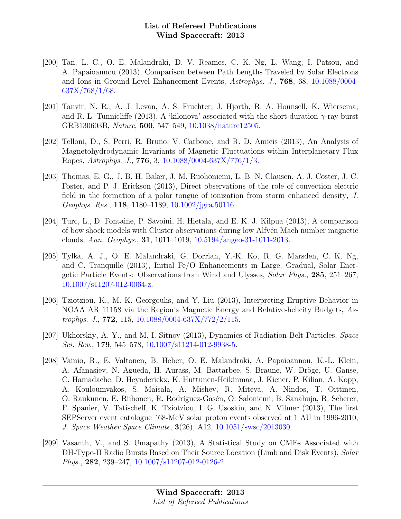- [200] Tan, L. C., O. E. Malandraki, D. V. Reames, C. K. Ng, L. Wang, I. Patsou, and A. Papaioannou (2013), Comparison between Path Lengths Traveled by Solar Electrons and Ions in Ground-Level Enhancement Events, Astrophys. J., 768, 68, [10.1088/0004-](http://dx.doi.org/10.1088/0004-637X/768/1/68) [637X/768/1/68.](http://dx.doi.org/10.1088/0004-637X/768/1/68)
- [201] Tanvir, N. R., A. J. Levan, A. S. Fruchter, J. Hjorth, R. A. Hounsell, K. Wiersema, and R. L. Tunnicliffe (2013), A 'kilonova' associated with the short-duration  $\gamma$ -ray burst GRB130603B, Nature, 500, 547–549, [10.1038/nature12505.](http://dx.doi.org/10.1038/nature12505)
- [202] Telloni, D., S. Perri, R. Bruno, V. Carbone, and R. D. Amicis (2013), An Analysis of Magnetohydrodynamic Invariants of Magnetic Fluctuations within Interplanetary Flux Ropes, Astrophys. J., 776, 3, [10.1088/0004-637X/776/1/3.](http://dx.doi.org/10.1088/0004-637X/776/1/3)
- [203] Thomas, E. G., J. B. H. Baker, J. M. Ruohoniemi, L. B. N. Clausen, A. J. Coster, J. C. Foster, and P. J. Erickson (2013), Direct observations of the role of convection electric field in the formation of a polar tongue of ionization from storm enhanced density, J. Geophys. Res., 118, 1180–1189, [10.1002/jgra.50116.](http://dx.doi.org/10.1002/jgra.50116)
- [204] Turc, L., D. Fontaine, P. Savoini, H. Hietala, and E. K. J. Kilpua (2013), A comparison of bow shock models with Cluster observations during low Alfv´en Mach number magnetic clouds, Ann. Geophys., 31, 1011–1019, [10.5194/angeo-31-1011-2013.](http://dx.doi.org/10.5194/angeo-31-1011-2013)
- [205] Tylka, A. J., O. E. Malandraki, G. Dorrian, Y.-K. Ko, R. G. Marsden, C. K. Ng, and C. Tranquille (2013), Initial Fe/O Enhancements in Large, Gradual, Solar Energetic Particle Events: Observations from Wind and Ulysses, Solar Phys., 285, 251–267, [10.1007/s11207-012-0064-z.](http://dx.doi.org/10.1007/s11207-012-0064-z)
- [206] Tziotziou, K., M. K. Georgoulis, and Y. Liu (2013), Interpreting Eruptive Behavior in NOAA AR 11158 via the Region's Magnetic Energy and Relative-helicity Budgets, Astrophys. J., **772**, 115,  $10.1088/0004-637X/772/2/115$ .
- [207] Ukhorskiy, A. Y., and M. I. Sitnov (2013), Dynamics of Radiation Belt Particles, Space Sci. Rev., 179, 545–578,  $10.1007 \mid s11214-012-9938-5.$
- [208] Vainio, R., E. Valtonen, B. Heber, O. E. Malandraki, A. Papaioannou, K.-L. Klein, A. Afanasiev, N. Agueda, H. Aurass, M. Battarbee, S. Braune, W. Dröge, U. Ganse, C. Hamadache, D. Heynderickx, K. Huttunen-Heikinmaa, J. Kiener, P. Kilian, A. Kopp, A. Kouloumvakos, S. Maisala, A. Mishev, R. Miteva, A. Nindos, T. Oittinen, O. Raukunen, E. Riihonen, R. Rodríguez-Gasén, O. Saloniemi, B. Sanahuja, R. Scherer, F. Spanier, V. Tatischeff, K. Tziotziou, I. G. Usoskin, and N. Vilmer (2013), The first SEPServer event catalogue ˜68-MeV solar proton events observed at 1 AU in 1996-2010, J. Space Weather Space Climate, 3(26), A12, [10.1051/swsc/2013030.](http://dx.doi.org/10.1051/swsc/2013030)
- [209] Vasanth, V., and S. Umapathy (2013), A Statistical Study on CMEs Associated with DH-Type-II Radio Bursts Based on Their Source Location (Limb and Disk Events), Solar Phys., 282, 239–247, [10.1007/s11207-012-0126-2.](http://dx.doi.org/10.1007/s11207-012-0126-2)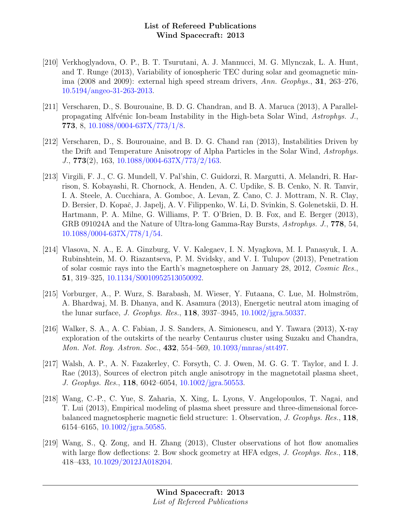- [210] Verkhoglyadova, O. P., B. T. Tsurutani, A. J. Mannucci, M. G. Mlynczak, L. A. Hunt, and T. Runge (2013), Variability of ionospheric TEC during solar and geomagnetic minima (2008 and 2009): external high speed stream drivers, Ann. Geophys., 31, 263–276, [10.5194/angeo-31-263-2013.](http://dx.doi.org/10.5194/angeo-31-263-2013)
- [211] Verscharen, D., S. Bourouaine, B. D. G. Chandran, and B. A. Maruca (2013), A Parallelpropagating Alfvénic Ion-beam Instability in the High-beta Solar Wind, Astrophys. J., 773, 8, [10.1088/0004-637X/773/1/8.](http://dx.doi.org/10.1088/0004-637X/773/1/8)
- [212] Verscharen, D., S. Bourouaine, and B. D. G. Chand ran (2013), Instabilities Driven by the Drift and Temperature Anisotropy of Alpha Particles in the Solar Wind, Astrophys. J., 773(2), 163, [10.1088/0004-637X/773/2/163.](http://dx.doi.org/10.1088/0004-637X/773/2/163)
- [213] Virgili, F. J., C. G. Mundell, V. Pal'shin, C. Guidorzi, R. Margutti, A. Melandri, R. Harrison, S. Kobayashi, R. Chornock, A. Henden, A. C. Updike, S. B. Cenko, N. R. Tanvir, I. A. Steele, A. Cucchiara, A. Gomboc, A. Levan, Z. Cano, C. J. Mottram, N. R. Clay, D. Bersier, D. Kopač, J. Japelj, A. V. Filippenko, W. Li, D. Svinkin, S. Golenetskii, D. H. Hartmann, P. A. Milne, G. Williams, P. T. O'Brien, D. B. Fox, and E. Berger (2013), GRB 091024A and the Nature of Ultra-long Gamma-Ray Bursts, Astrophys. J., 778, 54, [10.1088/0004-637X/778/1/54.](http://dx.doi.org/10.1088/0004-637X/778/1/54)
- [214] Vlasova, N. A., E. A. Ginzburg, V. V. Kalegaev, I. N. Myagkova, M. I. Panasyuk, I. A. Rubinshtein, M. O. Riazantseva, P. M. Svidsky, and V. I. Tulupov (2013), Penetration of solar cosmic rays into the Earth's magnetosphere on January 28, 2012, Cosmic Res., 51, 319–325, [10.1134/S0010952513050092.](http://dx.doi.org/10.1134/S0010952513050092)
- [215] Vorburger, A., P. Wurz, S. Barabash, M. Wieser, Y. Futaana, C. Lue, M. Holmström, A. Bhardwaj, M. B. Dhanya, and K. Asamura (2013), Energetic neutral atom imaging of the lunar surface, J. Geophys. Res., 118, 3937–3945, [10.1002/jgra.50337.](http://dx.doi.org/10.1002/jgra.50337)
- [216] Walker, S. A., A. C. Fabian, J. S. Sanders, A. Simionescu, and Y. Tawara (2013), X-ray exploration of the outskirts of the nearby Centaurus cluster using Suzaku and Chandra, Mon. Not. Roy. Astron. Soc., 432, 554–569, [10.1093/mnras/stt497.](http://dx.doi.org/10.1093/mnras/stt497)
- [217] Walsh, A. P., A. N. Fazakerley, C. Forsyth, C. J. Owen, M. G. G. T. Taylor, and I. J. Rae (2013), Sources of electron pitch angle anisotropy in the magnetotail plasma sheet, J. Geophys. Res., 118, 6042–6054, [10.1002/jgra.50553.](http://dx.doi.org/10.1002/jgra.50553)
- [218] Wang, C.-P., C. Yue, S. Zaharia, X. Xing, L. Lyons, V. Angelopoulos, T. Nagai, and T. Lui (2013), Empirical modeling of plasma sheet pressure and three-dimensional forcebalanced magnetospheric magnetic field structure: 1. Observation, J. Geophys. Res., 118, 6154–6165, [10.1002/jgra.50585.](http://dx.doi.org/10.1002/jgra.50585)
- [219] Wang, S., Q. Zong, and H. Zhang (2013), Cluster observations of hot flow anomalies with large flow deflections: 2. Bow shock geometry at HFA edges,  $J.$  Geophys. Res., 118, 418–433, [10.1029/2012JA018204.](http://dx.doi.org/10.1029/2012JA018204)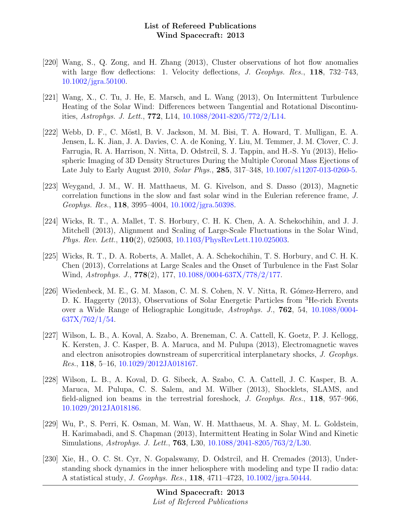- [220] Wang, S., Q. Zong, and H. Zhang (2013), Cluster observations of hot flow anomalies with large flow deflections: 1. Velocity deflections, *J. Geophys. Res.*, 118, 732-743, [10.1002/jgra.50100.](http://dx.doi.org/10.1002/jgra.50100)
- [221] Wang, X., C. Tu, J. He, E. Marsch, and L. Wang (2013), On Intermittent Turbulence Heating of the Solar Wind: Differences between Tangential and Rotational Discontinuities, Astrophys. J. Lett., 772, L14, [10.1088/2041-8205/772/2/L14.](http://dx.doi.org/10.1088/2041-8205/772/2/L14)
- [222] Webb, D. F., C. M¨ostl, B. V. Jackson, M. M. Bisi, T. A. Howard, T. Mulligan, E. A. Jensen, L. K. Jian, J. A. Davies, C. A. de Koning, Y. Liu, M. Temmer, J. M. Clover, C. J. Farrugia, R. A. Harrison, N. Nitta, D. Odstrcil, S. J. Tappin, and H.-S. Yu (2013), Heliospheric Imaging of 3D Density Structures During the Multiple Coronal Mass Ejections of Late July to Early August 2010, *Solar Phys.*, **285**, 317–348, [10.1007/s11207-013-0260-5.](http://dx.doi.org/10.1007/s11207-013-0260-5)
- [223] Weygand, J. M., W. H. Matthaeus, M. G. Kivelson, and S. Dasso (2013), Magnetic correlation functions in the slow and fast solar wind in the Eulerian reference frame, J. Geophys. Res., 118, 3995–4004, [10.1002/jgra.50398.](http://dx.doi.org/10.1002/jgra.50398)
- [224] Wicks, R. T., A. Mallet, T. S. Horbury, C. H. K. Chen, A. A. Schekochihin, and J. J. Mitchell (2013), Alignment and Scaling of Large-Scale Fluctuations in the Solar Wind, Phys. Rev. Lett., 110(2), 025003, [10.1103/PhysRevLett.110.025003.](http://dx.doi.org/10.1103/PhysRevLett.110.025003)
- [225] Wicks, R. T., D. A. Roberts, A. Mallet, A. A. Schekochihin, T. S. Horbury, and C. H. K. Chen (2013), Correlations at Large Scales and the Onset of Turbulence in the Fast Solar Wind, Astrophys. J., 778(2), 177, [10.1088/0004-637X/778/2/177.](http://dx.doi.org/10.1088/0004-637X/778/2/177)
- [226] Wiedenbeck, M. E., G. M. Mason, C. M. S. Cohen, N. V. Nitta, R. Gómez-Herrero, and D. K. Haggerty (2013), Observations of Solar Energetic Particles from <sup>3</sup>He-rich Events over a Wide Range of Heliographic Longitude, Astrophys. J., 762, 54, [10.1088/0004-](http://dx.doi.org/10.1088/0004-637X/762/1/54) [637X/762/1/54.](http://dx.doi.org/10.1088/0004-637X/762/1/54)
- [227] Wilson, L. B., A. Koval, A. Szabo, A. Breneman, C. A. Cattell, K. Goetz, P. J. Kellogg, K. Kersten, J. C. Kasper, B. A. Maruca, and M. Pulupa (2013), Electromagnetic waves and electron anisotropies downstream of supercritical interplanetary shocks, J. Geophys. Res., 118, 5–16, [10.1029/2012JA018167.](http://dx.doi.org/10.1029/2012JA018167)
- [228] Wilson, L. B., A. Koval, D. G. Sibeck, A. Szabo, C. A. Cattell, J. C. Kasper, B. A. Maruca, M. Pulupa, C. S. Salem, and M. Wilber (2013), Shocklets, SLAMS, and field-aligned ion beams in the terrestrial foreshock, J. Geophys. Res., 118, 957–966, [10.1029/2012JA018186.](http://dx.doi.org/10.1029/2012JA018186)
- [229] Wu, P., S. Perri, K. Osman, M. Wan, W. H. Matthaeus, M. A. Shay, M. L. Goldstein, H. Karimabadi, and S. Chapman (2013), Intermittent Heating in Solar Wind and Kinetic Simulations, Astrophys. J. Lett., 763, L30, [10.1088/2041-8205/763/2/L30.](http://dx.doi.org/10.1088/2041-8205/763/2/L30)
- [230] Xie, H., O. C. St. Cyr, N. Gopalswamy, D. Odstrcil, and H. Cremades (2013), Understanding shock dynamics in the inner heliosphere with modeling and type II radio data: A statistical study, J. Geophys. Res., 118, 4711–4723, [10.1002/jgra.50444.](http://dx.doi.org/10.1002/jgra.50444)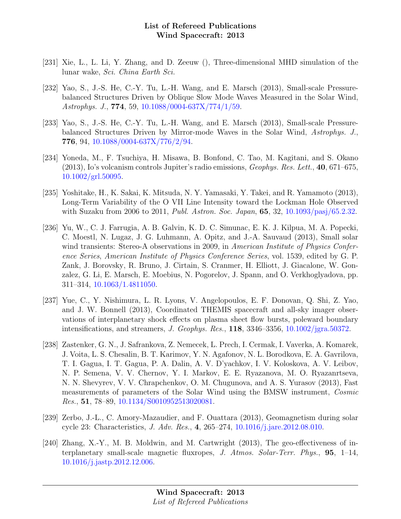- [231] Xie, L., L. Li, Y. Zhang, and D. Zeeuw (), Three-dimensional MHD simulation of the lunar wake, Sci. China Earth Sci.
- [232] Yao, S., J.-S. He, C.-Y. Tu, L.-H. Wang, and E. Marsch (2013), Small-scale Pressurebalanced Structures Driven by Oblique Slow Mode Waves Measured in the Solar Wind, Astrophys. J., 774, 59, [10.1088/0004-637X/774/1/59.](http://dx.doi.org/10.1088/0004-637X/774/1/59)
- [233] Yao, S., J.-S. He, C.-Y. Tu, L.-H. Wang, and E. Marsch (2013), Small-scale Pressurebalanced Structures Driven by Mirror-mode Waves in the Solar Wind, Astrophys. J., 776, 94, [10.1088/0004-637X/776/2/94.](http://dx.doi.org/10.1088/0004-637X/776/2/94)
- [234] Yoneda, M., F. Tsuchiya, H. Misawa, B. Bonfond, C. Tao, M. Kagitani, and S. Okano (2013), Io's volcanism controls Jupiter's radio emissions, Geophys. Res. Lett., 40, 671–675, [10.1002/grl.50095.](http://dx.doi.org/10.1002/grl.50095)
- [235] Yoshitake, H., K. Sakai, K. Mitsuda, N. Y. Yamasaki, Y. Takei, and R. Yamamoto (2013), Long-Term Variability of the O VII Line Intensity toward the Lockman Hole Observed with Suzaku from 2006 to 2011, *Publ. Astron. Soc. Japan*, **65**, 32, [10.1093/pasj/65.2.32.](http://dx.doi.org/10.1093/pasj/65.2.32)
- [236] Yu, W., C. J. Farrugia, A. B. Galvin, K. D. C. Simunac, E. K. J. Kilpua, M. A. Popecki, C. Moestl, N. Lugaz, J. G. Luhmann, A. Opitz, and J.-A. Sauvaud (2013), Small solar wind transients: Stereo-A observations in 2009, in American Institute of Physics Conference Series, American Institute of Physics Conference Series, vol. 1539, edited by G. P. Zank, J. Borovsky, R. Bruno, J. Cirtain, S. Cranmer, H. Elliott, J. Giacalone, W. Gonzalez, G. Li, E. Marsch, E. Moebius, N. Pogorelov, J. Spann, and O. Verkhoglyadova, pp. 311–314, [10.1063/1.4811050.](http://dx.doi.org/10.1063/1.4811050)
- [237] Yue, C., Y. Nishimura, L. R. Lyons, V. Angelopoulos, E. F. Donovan, Q. Shi, Z. Yao, and J. W. Bonnell (2013), Coordinated THEMIS spacecraft and all-sky imager observations of interplanetary shock effects on plasma sheet flow bursts, poleward boundary intensifications, and streamers, J. Geophys. Res., 118, 3346–3356, [10.1002/jgra.50372.](http://dx.doi.org/10.1002/jgra.50372)
- [238] Zastenker, G. N., J. Safrankova, Z. Nemecek, L. Prech, I. Cermak, I. Vaverka, A. Komarek, J. Voita, L. S. Chesalin, B. T. Karimov, Y. N. Agafonov, N. L. Borodkova, E. A. Gavrilova, T. I. Gagua, I. T. Gagua, P. A. Dalin, A. V. D'yachkov, I. V. Koloskova, A. V. Leibov, N. P. Semena, V. V. Chernov, Y. I. Markov, E. E. Ryazanova, M. O. Ryazanrtseva, N. N. Shevyrev, V. V. Chrapchenkov, O. M. Chugunova, and A. S. Yurasov (2013), Fast measurements of parameters of the Solar Wind using the BMSW instrument, Cosmic Res., 51, 78–89, [10.1134/S0010952513020081.](http://dx.doi.org/10.1134/S0010952513020081)
- [239] Zerbo, J.-L., C. Amory-Mazaudier, and F. Ouattara (2013), Geomagnetism during solar cycle 23: Characteristics, J. Adv. Res., 4, 265–274, [10.1016/j.jare.2012.08.010.](http://dx.doi.org/10.1016/j.jare.2012.08.010)
- [240] Zhang, X.-Y., M. B. Moldwin, and M. Cartwright (2013), The geo-effectiveness of interplanetary small-scale magnetic fluxropes, J. Atmos. Solar-Terr. Phys.,  $95, 1-14$ , [10.1016/j.jastp.2012.12.006.](http://dx.doi.org/10.1016/j.jastp.2012.12.006)